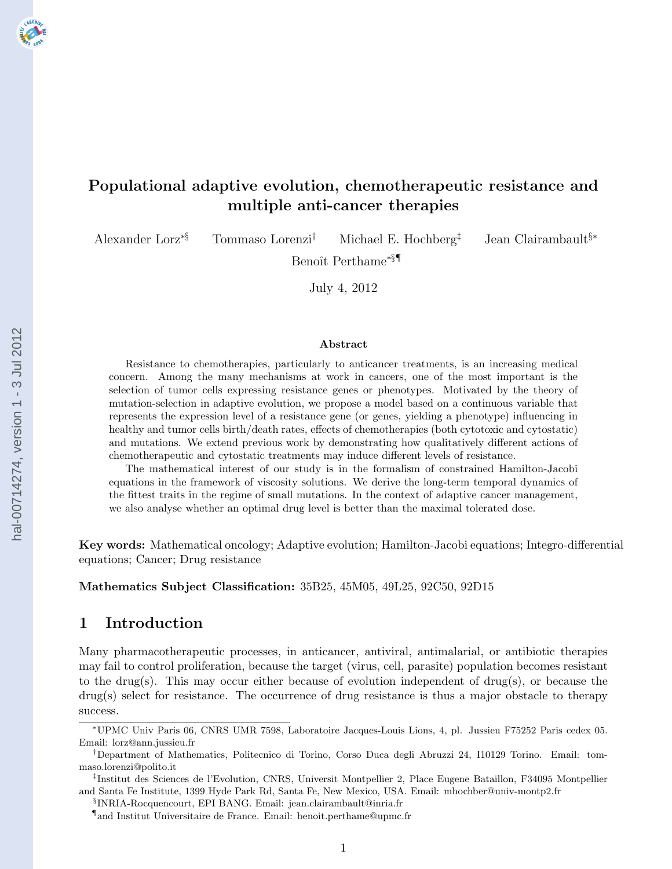# Populational adaptive evolution, chemotherapeutic resistance and multiple anti-cancer therapies

Alexander Lorz∗§ Tommaso Lorenzi† Michael E. Hochberg‡ Jean Clairambault§∗

Benoît Perthame<sup>\*§¶</sup>

July 4, 2012

#### Abstract

Resistance to chemotherapies, particularly to anticancer treatments, is an increasing medical concern. Among the many mechanisms at work in cancers, one of the most important is the selection of tumor cells expressing resistance genes or phenotypes. Motivated by the theory of mutation-selection in adaptive evolution, we propose a model based on a continuous variable that represents the expression level of a resistance gene (or genes, yielding a phenotype) influencing in healthy and tumor cells birth/death rates, effects of chemotherapies (both cytotoxic and cytostatic) and mutations. We extend previous work by demonstrating how qualitatively different actions of chemotherapeutic and cytostatic treatments may induce different levels of resistance.

The mathematical interest of our study is in the formalism of constrained Hamilton-Jacobi equations in the framework of viscosity solutions. We derive the long-term temporal dynamics of the fittest traits in the regime of small mutations. In the context of adaptive cancer management, we also analyse whether an optimal drug level is better than the maximal tolerated dose.

Key words: Mathematical oncology; Adaptive evolution; Hamilton-Jacobi equations; Integro-differential equations; Cancer; Drug resistance

Mathematics Subject Classification: 35B25, 45M05, 49L25, 92C50, 92D15

## 1 Introduction

Many pharmacotherapeutic processes, in anticancer, antiviral, antimalarial, or antibiotic therapies may fail to control proliferation, because the target (virus, cell, parasite) population becomes resistant to the drug(s). This may occur either because of evolution independent of drug(s), or because the drug(s) select for resistance. The occurrence of drug resistance is thus a major obstacle to therapy success.

§ INRIA-Rocquencourt, EPI BANG. Email: jean.clairambault@inria.fr

<sup>∗</sup>UPMC Univ Paris 06, CNRS UMR 7598, Laboratoire Jacques-Louis Lions, 4, pl. Jussieu F75252 Paris cedex 05. Email: lorz@ann.jussieu.fr

<sup>†</sup>Department of Mathematics, Politecnico di Torino, Corso Duca degli Abruzzi 24, I10129 Torino. Email: tommaso.lorenzi@polito.it

<sup>‡</sup> Institut des Sciences de l'Evolution, CNRS, Universit Montpellier 2, Place Eugene Bataillon, F34095 Montpellier and Santa Fe Institute, 1399 Hyde Park Rd, Santa Fe, New Mexico, USA. Email: mhochber@univ-montp2.fr

<sup>¶</sup> and Institut Universitaire de France. Email: benoit.perthame@upmc.fr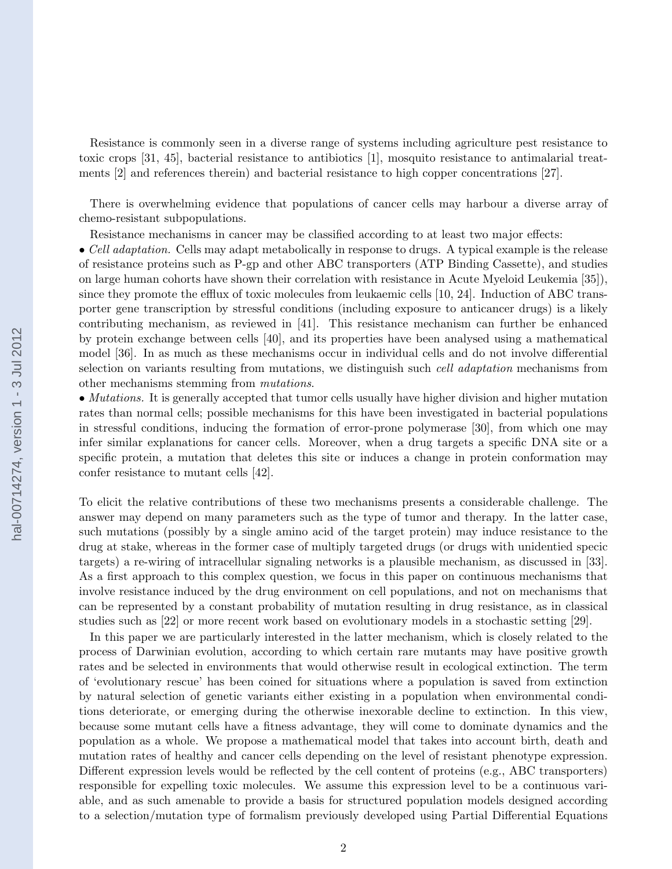Resistance is commonly seen in a diverse range of systems including agriculture pest resistance to toxic crops [\[31,](#page-25-0) [45\]](#page-26-0), bacterial resistance to antibiotics [\[1\]](#page-23-0), mosquito resistance to antimalarial treatments [\[2\]](#page-23-0) and references therein) and bacterial resistance to high copper concentrations [\[27\]](#page-25-0).

There is overwhelming evidence that populations of cancer cells may harbour a diverse array of chemo-resistant subpopulations.

Resistance mechanisms in cancer may be classified according to at least two major effects:

• Cell adaptation. Cells may adapt metabolically in response to drugs. A typical example is the release of resistance proteins such as P-gp and other ABC transporters (ATP Binding Cassette), and studies on large human cohorts have shown their correlation with resistance in Acute Myeloid Leukemia [\[35\]](#page-25-0)), since they promote the efflux of toxic molecules from leukaemic cells [\[10, 24\]](#page-24-0). Induction of ABC transporter gene transcription by stressful conditions (including exposure to anticancer drugs) is a likely contributing mechanism, as reviewed in [\[41\]](#page-25-0). This resistance mechanism can further be enhanced by protein exchange between cells [\[40\]](#page-25-0), and its properties have been analysed using a mathematical model [\[36\]](#page-25-0). In as much as these mechanisms occur in individual cells and do not involve differential selection on variants resulting from mutations, we distinguish such *cell adaptation* mechanisms from other mechanisms stemming from mutations.

• Mutations. It is generally accepted that tumor cells usually have higher division and higher mutation rates than normal cells; possible mechanisms for this have been investigated in bacterial populations in stressful conditions, inducing the formation of error-prone polymerase [\[30\]](#page-25-0), from which one may infer similar explanations for cancer cells. Moreover, when a drug targets a specific DNA site or a specific protein, a mutation that deletes this site or induces a change in protein conformation may confer resistance to mutant cells [\[42\]](#page-26-0).

To elicit the relative contributions of these two mechanisms presents a considerable challenge. The answer may depend on many parameters such as the type of tumor and therapy. In the latter case, such mutations (possibly by a single amino acid of the target protein) may induce resistance to the drug at stake, whereas in the former case of multiply targeted drugs (or drugs with unidentied specic targets) a re-wiring of intracellular signaling networks is a plausible mechanism, as discussed in [\[33\]](#page-25-0). As a first approach to this complex question, we focus in this paper on continuous mechanisms that involve resistance induced by the drug environment on cell populations, and not on mechanisms that can be represented by a constant probability of mutation resulting in drug resistance, as in classical studies such as [\[22\]](#page-24-0) or more recent work based on evolutionary models in a stochastic setting [\[29\]](#page-25-0).

In this paper we are particularly interested in the latter mechanism, which is closely related to the process of Darwinian evolution, according to which certain rare mutants may have positive growth rates and be selected in environments that would otherwise result in ecological extinction. The term of 'evolutionary rescue' has been coined for situations where a population is saved from extinction by natural selection of genetic variants either existing in a population when environmental conditions deteriorate, or emerging during the otherwise inexorable decline to extinction. In this view, because some mutant cells have a fitness advantage, they will come to dominate dynamics and the population as a whole. We propose a mathematical model that takes into account birth, death and mutation rates of healthy and cancer cells depending on the level of resistant phenotype expression. Different expression levels would be reflected by the cell content of proteins (e.g., ABC transporters) responsible for expelling toxic molecules. We assume this expression level to be a continuous variable, and as such amenable to provide a basis for structured population models designed according to a selection/mutation type of formalism previously developed using Partial Differential Equations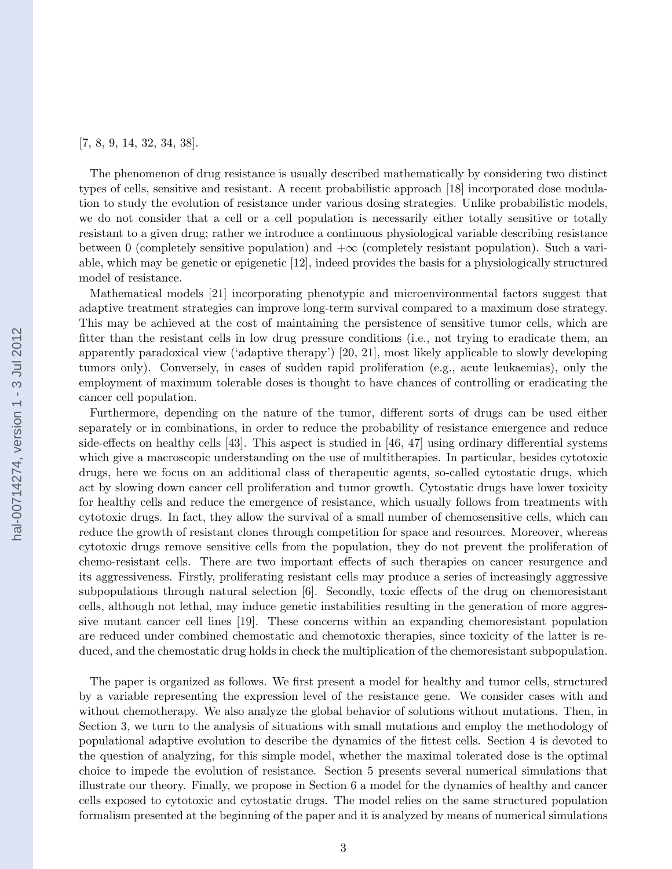[\[7,](#page-23-0) [8, 9, 14,](#page-24-0) [32, 34, 38\]](#page-25-0).

The phenomenon of drug resistance is usually described mathematically by considering two distinct types of cells, sensitive and resistant. A recent probabilistic approach [\[18\]](#page-24-0) incorporated dose modulation to study the evolution of resistance under various dosing strategies. Unlike probabilistic models, we do not consider that a cell or a cell population is necessarily either totally sensitive or totally resistant to a given drug; rather we introduce a continuous physiological variable describing resistance between 0 (completely sensitive population) and  $+\infty$  (completely resistant population). Such a vari-able, which may be genetic or epigenetic [\[12\]](#page-24-0), indeed provides the basis for a physiologically structured model of resistance.

Mathematical models [\[21\]](#page-24-0) incorporating phenotypic and microenvironmental factors suggest that adaptive treatment strategies can improve long-term survival compared to a maximum dose strategy. This may be achieved at the cost of maintaining the persistence of sensitive tumor cells, which are fitter than the resistant cells in low drug pressure conditions (i.e., not trying to eradicate them, an apparently paradoxical view ('adaptive therapy') [\[20, 21\]](#page-24-0), most likely applicable to slowly developing tumors only). Conversely, in cases of sudden rapid proliferation (e.g., acute leukaemias), only the employment of maximum tolerable doses is thought to have chances of controlling or eradicating the cancer cell population.

Furthermore, depending on the nature of the tumor, different sorts of drugs can be used either separately or in combinations, in order to reduce the probability of resistance emergence and reduce side-effects on healthy cells [\[43\]](#page-26-0). This aspect is studied in [\[46, 47\]](#page-26-0) using ordinary differential systems which give a macroscopic understanding on the use of multitherapies. In particular, besides cytotoxic drugs, here we focus on an additional class of therapeutic agents, so-called cytostatic drugs, which act by slowing down cancer cell proliferation and tumor growth. Cytostatic drugs have lower toxicity for healthy cells and reduce the emergence of resistance, which usually follows from treatments with cytotoxic drugs. In fact, they allow the survival of a small number of chemosensitive cells, which can reduce the growth of resistant clones through competition for space and resources. Moreover, whereas cytotoxic drugs remove sensitive cells from the population, they do not prevent the proliferation of chemo-resistant cells. There are two important effects of such therapies on cancer resurgence and its aggressiveness. Firstly, proliferating resistant cells may produce a series of increasingly aggressive subpopulations through natural selection [\[6\]](#page-23-0). Secondly, toxic effects of the drug on chemoresistant cells, although not lethal, may induce genetic instabilities resulting in the generation of more aggressive mutant cancer cell lines [\[19\]](#page-24-0). These concerns within an expanding chemoresistant population are reduced under combined chemostatic and chemotoxic therapies, since toxicity of the latter is reduced, and the chemostatic drug holds in check the multiplication of the chemoresistant subpopulation.

The paper is organized as follows. We first present a model for healthy and tumor cells, structured by a variable representing the expression level of the resistance gene. We consider cases with and without chemotherapy. We also analyze the global behavior of solutions without mutations. Then, in Section [3,](#page-7-0) we turn to the analysis of situations with small mutations and employ the methodology of populational adaptive evolution to describe the dynamics of the fittest cells. Section [4](#page-13-0) is devoted to the question of analyzing, for this simple model, whether the maximal tolerated dose is the optimal choice to impede the evolution of resistance. Section [5](#page-14-0) presents several numerical simulations that illustrate our theory. Finally, we propose in Section [6](#page-16-0) a model for the dynamics of healthy and cancer cells exposed to cytotoxic and cytostatic drugs. The model relies on the same structured population formalism presented at the beginning of the paper and it is analyzed by means of numerical simulations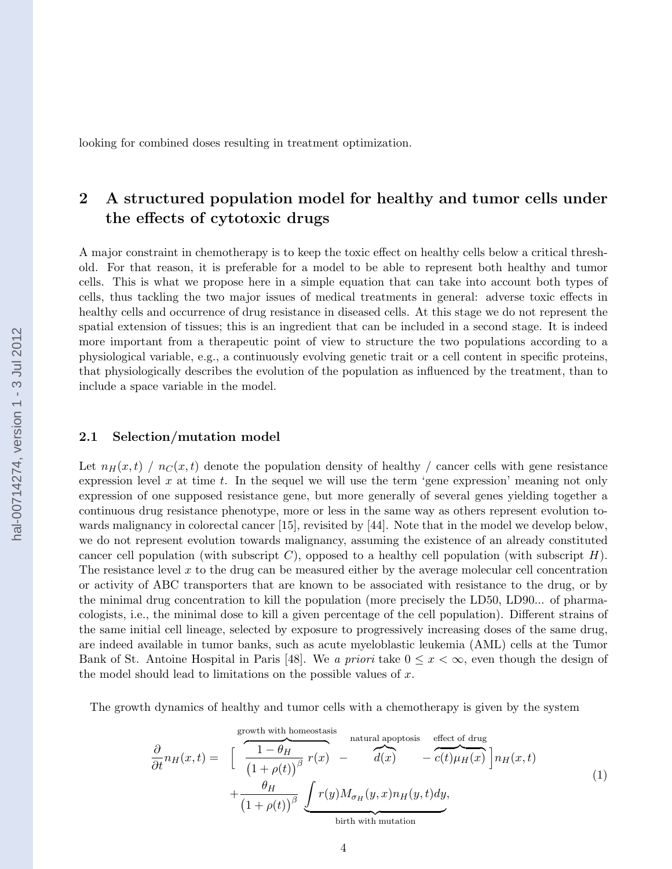<span id="page-3-0"></span>looking for combined doses resulting in treatment optimization.

# 2 A structured population model for healthy and tumor cells under the effects of cytotoxic drugs

A major constraint in chemotherapy is to keep the toxic effect on healthy cells below a critical threshold. For that reason, it is preferable for a model to be able to represent both healthy and tumor cells. This is what we propose here in a simple equation that can take into account both types of cells, thus tackling the two major issues of medical treatments in general: adverse toxic effects in healthy cells and occurrence of drug resistance in diseased cells. At this stage we do not represent the spatial extension of tissues; this is an ingredient that can be included in a second stage. It is indeed more important from a therapeutic point of view to structure the two populations according to a physiological variable, e.g., a continuously evolving genetic trait or a cell content in specific proteins, that physiologically describes the evolution of the population as influenced by the treatment, than to include a space variable in the model.

### 2.1 Selection/mutation model

Let  $n_H(x, t)$  /  $n_G(x, t)$  denote the population density of healthy / cancer cells with gene resistance expression level x at time t. In the sequel we will use the term 'gene expression' meaning not only expression of one supposed resistance gene, but more generally of several genes yielding together a continuous drug resistance phenotype, more or less in the same way as others represent evolution towards malignancy in colorectal cancer [\[15\]](#page-24-0), revisited by [\[44\]](#page-26-0). Note that in the model we develop below, we do not represent evolution towards malignancy, assuming the existence of an already constituted cancer cell population (with subscript  $C$ ), opposed to a healthy cell population (with subscript  $H$ ). The resistance level  $x$  to the drug can be measured either by the average molecular cell concentration or activity of ABC transporters that are known to be associated with resistance to the drug, or by the minimal drug concentration to kill the population (more precisely the LD50, LD90... of pharmacologists, i.e., the minimal dose to kill a given percentage of the cell population). Different strains of the same initial cell lineage, selected by exposure to progressively increasing doses of the same drug, are indeed available in tumor banks, such as acute myeloblastic leukemia (AML) cells at the Tumor Bank of St. Antoine Hospital in Paris [\[48\]](#page-26-0). We a priori take  $0 \leq x \leq \infty$ , even though the design of the model should lead to limitations on the possible values of  $x$ .

The growth dynamics of healthy and tumor cells with a chemotherapy is given by the system

$$
\frac{\partial}{\partial t} n_H(x,t) = \left[ \frac{\frac{1-\theta_H}{(1+\rho(t))^{\beta}} r(x)}{\frac{1-\theta_H}{(1+\rho(t))^{\beta}} r(x)} - \frac{d(x)}{d(x)} - \frac{c(t)\mu_H(x)}{c(t)\mu_H(x)} \right] n_H(x,t) + \frac{\theta_H}{(1+\rho(t))^{\beta}} \underbrace{\int r(y) M_{\sigma_H}(y,x) n_H(y,t) dy}_{\text{birth with mutation}},
$$
\n(1)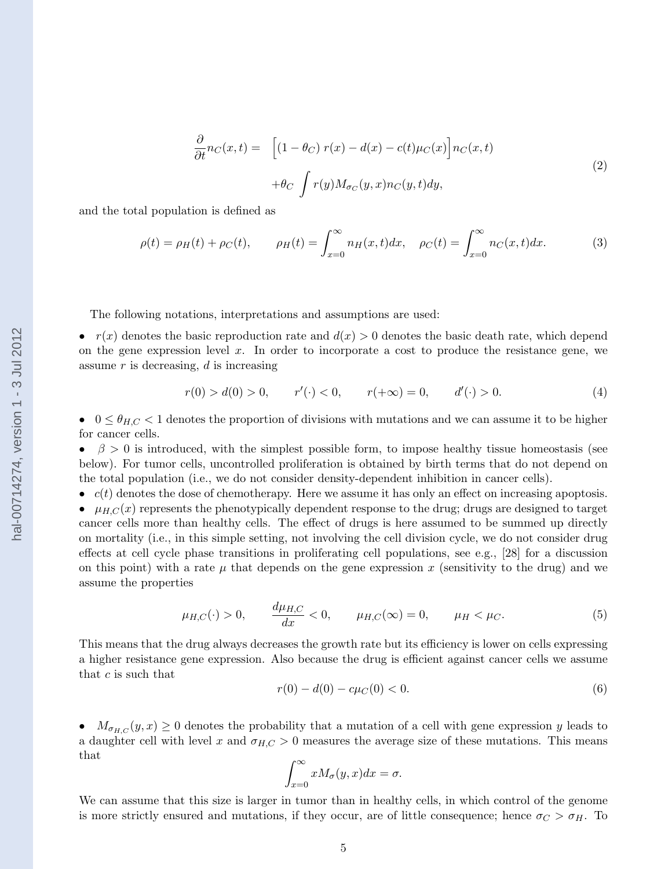$$
\frac{\partial}{\partial t}n_C(x,t) = \left[ (1 - \theta_C) r(x) - d(x) - c(t)\mu_C(x) \right] n_C(x,t)
$$
  
 
$$
+ \theta_C \int r(y) M_{\sigma_C}(y,x) n_C(y,t) dy,
$$
\n(2)

<span id="page-4-0"></span>and the total population is defined as

$$
\rho(t) = \rho_H(t) + \rho_C(t), \qquad \rho_H(t) = \int_{x=0}^{\infty} n_H(x, t) dx, \quad \rho_C(t) = \int_{x=0}^{\infty} n_C(x, t) dx.
$$
 (3)

The following notations, interpretations and assumptions are used:

•  $r(x)$  denotes the basic reproduction rate and  $d(x) > 0$  denotes the basic death rate, which depend on the gene expression level  $x$ . In order to incorporate a cost to produce the resistance gene, we assume  $r$  is decreasing,  $d$  is increasing

$$
r(0) > d(0) > 0, \qquad r'(\cdot) < 0, \qquad r(+\infty) = 0, \qquad d'(\cdot) > 0.
$$
 (4)

•  $0 \leq \theta_{H,C} < 1$  denotes the proportion of divisions with mutations and we can assume it to be higher for cancer cells.

•  $\beta > 0$  is introduced, with the simplest possible form, to impose healthy tissue homeostasis (see below). For tumor cells, uncontrolled proliferation is obtained by birth terms that do not depend on the total population (i.e., we do not consider density-dependent inhibition in cancer cells).

 $\bullet$   $c(t)$  denotes the dose of chemotherapy. Here we assume it has only an effect on increasing apoptosis. •  $\mu_{H,C}(x)$  represents the phenotypically dependent response to the drug; drugs are designed to target cancer cells more than healthy cells. The effect of drugs is here assumed to be summed up directly on mortality (i.e., in this simple setting, not involving the cell division cycle, we do not consider drug effects at cell cycle phase transitions in proliferating cell populations, see e.g., [\[28\]](#page-25-0) for a discussion on this point) with a rate  $\mu$  that depends on the gene expression x (sensitivity to the drug) and we assume the properties

$$
\mu_{H,C}(\cdot) > 0,
$$
\n $\frac{d\mu_{H,C}}{dx} < 0,$ \n $\mu_{H,C}(\infty) = 0,$ \n $\mu_H < \mu_C.$ \n(5)

This means that the drug always decreases the growth rate but its efficiency is lower on cells expressing a higher resistance gene expression. Also because the drug is efficient against cancer cells we assume that c is such that

$$
r(0) - d(0) - c\mu_C(0) < 0. \tag{6}
$$

•  $M_{\sigma_{H,C}}(y, x) \geq 0$  denotes the probability that a mutation of a cell with gene expression y leads to a daughter cell with level x and  $\sigma_{H,C} > 0$  measures the average size of these mutations. This means that

$$
\int_{x=0}^{\infty} x M_{\sigma}(y, x) dx = \sigma.
$$

We can assume that this size is larger in tumor than in healthy cells, in which control of the genome is more strictly ensured and mutations, if they occur, are of little consequence; hence  $\sigma_C > \sigma_H$ . To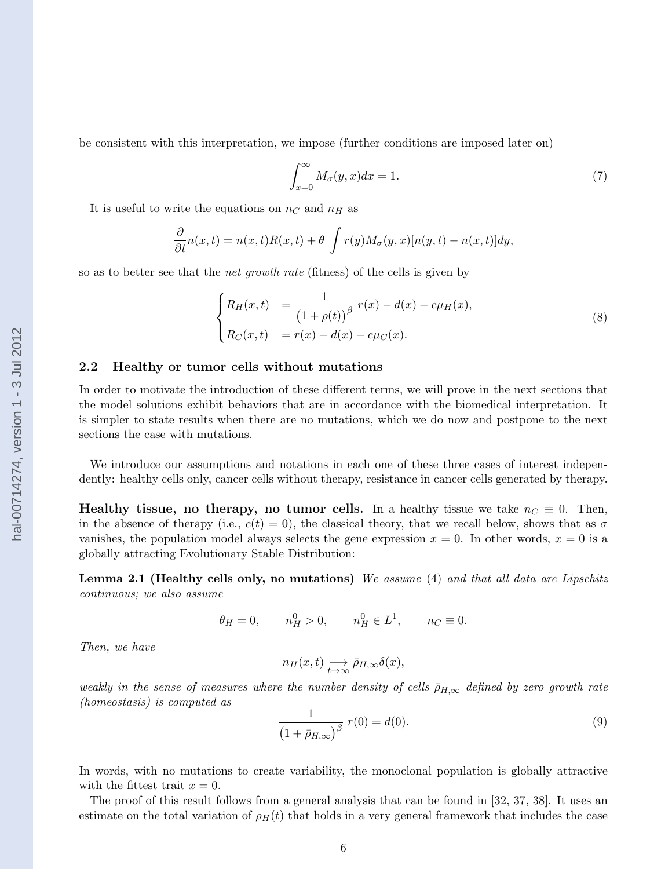so as to better see that the net growth rate (fitness) of the cells is given by

### 2.2 Healthy or tumor cells without mutations

It is useful to write the equations on  $n<sub>C</sub>$  and  $n<sub>H</sub>$  as

 $\sqrt{ }$  $\int$ 

 $\overline{\mathcal{L}}$ 

In order to motivate the introduction of these different terms, we will prove in the next sections that the model solutions exhibit behaviors that are in accordance with the biomedical interpretation. It is simpler to state results when there are no mutations, which we do now and postpone to the next sections the case with mutations.

 $\frac{\partial}{\partial t} n(x,t) = n(x,t)R(x,t) + \theta \int r(y)M_{\sigma}(y,x)[n(y,t) - n(x,t)]dy,$ 

 $\frac{1}{(1+\rho(t))^\beta} r(x) - d(x) - c\mu_H(x),$ 

<span id="page-5-0"></span>be consistent with this interpretation, we impose (further conditions are imposed later on)

 $R_C(x, t) = r(x) - d(x) - c\mu_C(x).$ 

 $\int^{\infty}$  $x=0$ 

 $R_H(x, t) = \frac{1}{\sqrt{2\pi}}$ 

We introduce our assumptions and notations in each one of these three cases of interest independently: healthy cells only, cancer cells without therapy, resistance in cancer cells generated by therapy.

Healthy tissue, no therapy, no tumor cells. In a healthy tissue we take  $n<sub>C</sub> \equiv 0$ . Then, in the absence of therapy (i.e.,  $c(t) = 0$ ), the classical theory, that we recall below, shows that as  $\sigma$ vanishes, the population model always selects the gene expression  $x = 0$ . In other words,  $x = 0$  is a globally attracting Evolutionary Stable Distribution:

Lemma 2.1 (Healthy cells only, no mutations) We assume [\(4\)](#page-4-0) and that all data are Lipschitz continuous; we also assume

$$
\theta_H = 0
$$
,  $n_H^0 > 0$ ,  $n_H^0 \in L^1$ ,  $n_C \equiv 0$ .

Then, we have

$$
n_H(x,t) \underset{t \to \infty}{\longrightarrow} \bar{\rho}_{H,\infty} \delta(x),
$$

weakly in the sense of measures where the number density of cells  $\bar{\rho}_{H,\infty}$  defined by zero growth rate (homeostasis) is computed as

$$
\frac{1}{(1 + \bar{\rho}_{H,\infty})^{\beta}} r(0) = d(0).
$$
 (9)

 $M_{\sigma}(y,x)dx = 1.$  (7)

(8)

In words, with no mutations to create variability, the monoclonal population is globally attractive with the fittest trait  $x = 0$ .

The proof of this result follows from a general analysis that can be found in [\[32, 37, 38\]](#page-25-0). It uses an estimate on the total variation of  $\rho_H(t)$  that holds in a very general framework that includes the case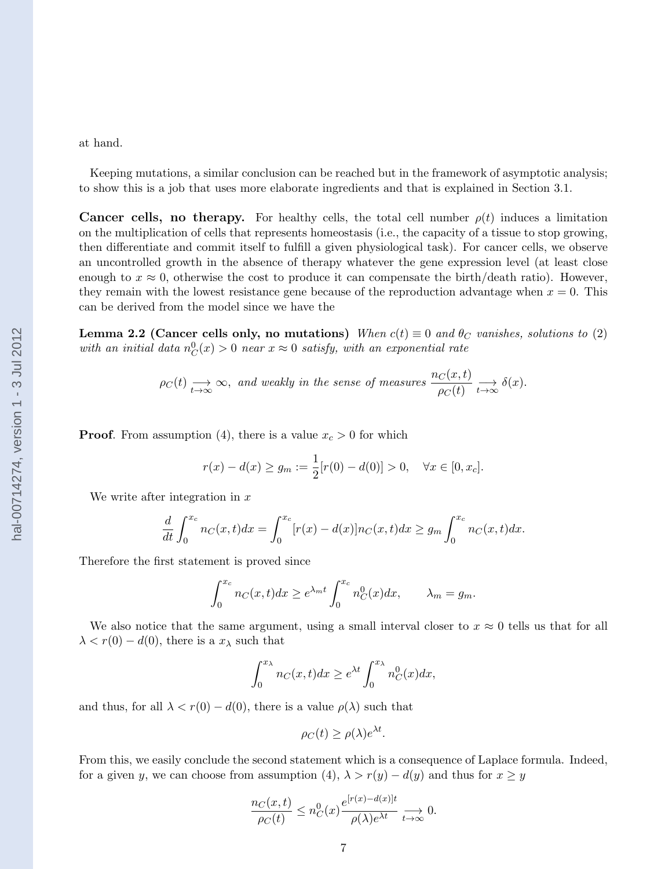#### <span id="page-6-0"></span>at hand.

Keeping mutations, a similar conclusion can be reached but in the framework of asymptotic analysis; to show this is a job that uses more elaborate ingredients and that is explained in Section [3.1.](#page-7-0)

**Cancer cells, no therapy.** For healthy cells, the total cell number  $\rho(t)$  induces a limitation on the multiplication of cells that represents homeostasis (i.e., the capacity of a tissue to stop growing, then differentiate and commit itself to fulfill a given physiological task). For cancer cells, we observe an uncontrolled growth in the absence of therapy whatever the gene expression level (at least close enough to  $x \approx 0$ , otherwise the cost to produce it can compensate the birth/death ratio). However, they remain with the lowest resistance gene because of the reproduction advantage when  $x = 0$ . This can be derived from the model since we have the

Lemma 2.2 (Cancer cells only, no mutations) When  $c(t) \equiv 0$  and  $\theta_C$  vanishes, solutions to [\(2\)](#page-4-0) with an initial data  $n_C^0(x) > 0$  near  $x \approx 0$  satisfy, with an exponential rate

$$
\rho_C(t) \xrightarrow[t \to \infty]{} \infty, \text{ and weakly in the sense of measures } \frac{n_C(x,t)}{\rho_C(t)} \xrightarrow[t \to \infty]{} \delta(x).
$$

**Proof.** From assumption [\(4\)](#page-4-0), there is a value  $x_c > 0$  for which

$$
r(x) - d(x) \ge g_m := \frac{1}{2} [r(0) - d(0)] > 0, \quad \forall x \in [0, x_c].
$$

We write after integration in  $x$ 

$$
\frac{d}{dt} \int_0^{x_c} n_C(x, t) dx = \int_0^{x_c} [r(x) - d(x)] n_C(x, t) dx \ge g_m \int_0^{x_c} n_C(x, t) dx.
$$

Therefore the first statement is proved since

$$
\int_0^{x_c} n_C(x,t)dx \ge e^{\lambda_m t} \int_0^{x_c} n_C^0(x)dx, \qquad \lambda_m = g_m.
$$

We also notice that the same argument, using a small interval closer to  $x \approx 0$  tells us that for all  $\lambda < r(0) - d(0)$ , there is a  $x_{\lambda}$  such that

$$
\int_0^{x_\lambda} n_C(x,t)dx \ge e^{\lambda t} \int_0^{x_\lambda} n_C^0(x)dx,
$$

and thus, for all  $\lambda < r(0) - d(0)$ , there is a value  $\rho(\lambda)$  such that

$$
\rho_C(t) \ge \rho(\lambda) e^{\lambda t}.
$$

From this, we easily conclude the second statement which is a consequence of Laplace formula. Indeed, for a given y, we can choose from assumption [\(4\)](#page-4-0),  $\lambda > r(y) - d(y)$  and thus for  $x \ge y$ 

$$
\frac{n_C(x,t)}{\rho_C(t)} \le n_C^0(x) \frac{e^{[r(x)-d(x)]t}}{\rho(\lambda)e^{\lambda t}} \underset{t \to \infty}{\longrightarrow} 0.
$$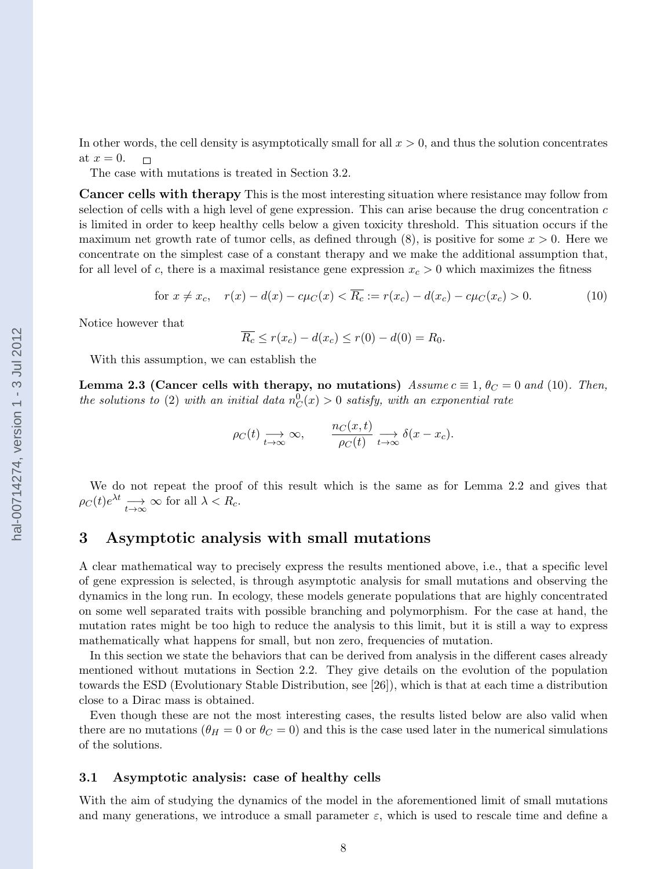<span id="page-7-0"></span>In other words, the cell density is asymptotically small for all  $x > 0$ , and thus the solution concentrates at  $x=0$ .  $\Box$ 

The case with mutations is treated in Section [3.2.](#page-11-0)

Cancer cells with therapy This is the most interesting situation where resistance may follow from selection of cells with a high level of gene expression. This can arise because the drug concentration  $c$ is limited in order to keep healthy cells below a given toxicity threshold. This situation occurs if the maximum net growth rate of tumor cells, as defined through  $(8)$ , is positive for some  $x > 0$ . Here we concentrate on the simplest case of a constant therapy and we make the additional assumption that, for all level of c, there is a maximal resistance gene expression  $x_c > 0$  which maximizes the fitness

for 
$$
x \neq x_c
$$
,  $r(x) - d(x) - c\mu_C(x) < \overline{R_c} := r(x_c) - d(x_c) - c\mu_C(x_c) > 0.$  (10)

Notice however that

$$
\overline{R_c} \le r(x_c) - d(x_c) \le r(0) - d(0) = R_0.
$$

With this assumption, we can establish the

Lemma 2.3 (Cancer cells with therapy, no mutations) Assume  $c \equiv 1$ ,  $\theta_C = 0$  and (10). Then, the solutions to [\(2\)](#page-4-0) with an initial data  $n_C^0(x) > 0$  satisfy, with an exponential rate

$$
\rho_C(t) \underset{t \to \infty}{\longrightarrow} \infty, \qquad \frac{n_C(x,t)}{\rho_C(t)} \underset{t \to \infty}{\longrightarrow} \delta(x-x_c).
$$

We do not repeat the proof of this result which is the same as for Lemma [2.2](#page-6-0) and gives that  $\rho_C(t)e^{\lambda t} \longrightarrow_{t \to \infty} \infty$  for all  $\lambda < R_c$ .

### 3 Asymptotic analysis with small mutations

A clear mathematical way to precisely express the results mentioned above, i.e., that a specific level of gene expression is selected, is through asymptotic analysis for small mutations and observing the dynamics in the long run. In ecology, these models generate populations that are highly concentrated on some well separated traits with possible branching and polymorphism. For the case at hand, the mutation rates might be too high to reduce the analysis to this limit, but it is still a way to express mathematically what happens for small, but non zero, frequencies of mutation.

In this section we state the behaviors that can be derived from analysis in the different cases already mentioned without mutations in Section [2.2.](#page-5-0) They give details on the evolution of the population towards the ESD (Evolutionary Stable Distribution, see [\[26\]](#page-25-0)), which is that at each time a distribution close to a Dirac mass is obtained.

Even though these are not the most interesting cases, the results listed below are also valid when there are no mutations ( $\theta_H = 0$  or  $\theta_C = 0$ ) and this is the case used later in the numerical simulations of the solutions.

#### 3.1 Asymptotic analysis: case of healthy cells

With the aim of studying the dynamics of the model in the aforementioned limit of small mutations and many generations, we introduce a small parameter  $\varepsilon$ , which is used to rescale time and define a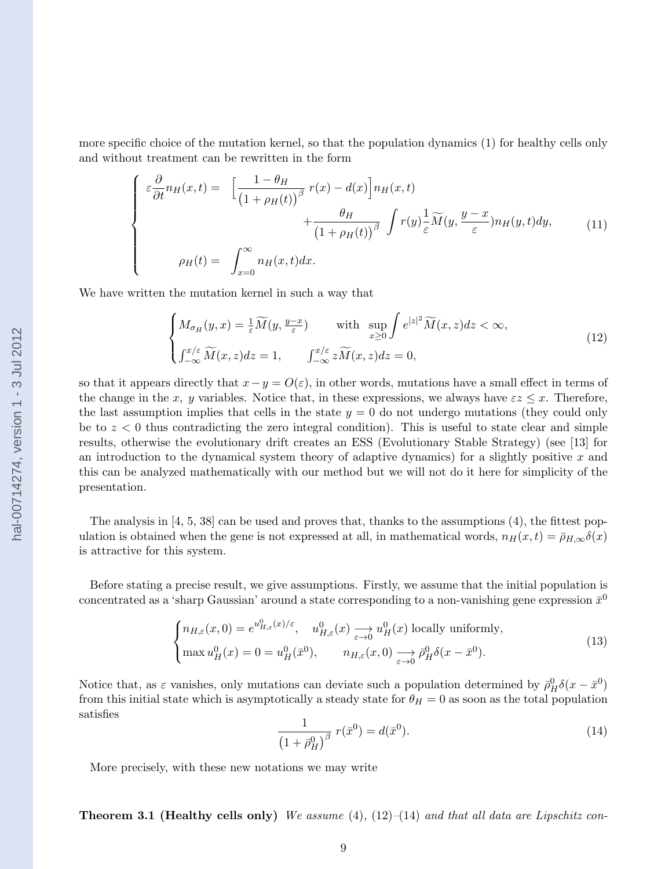<span id="page-8-0"></span>more specific choice of the mutation kernel, so that the population dynamics [\(1\)](#page-3-0) for healthy cells only and without treatment can be rewritten in the form

$$
\begin{cases}\n\varepsilon \frac{\partial}{\partial t} n_H(x,t) = \left[ \frac{1 - \theta_H}{\left( 1 + \rho_H(t) \right)^{\beta}} r(x) - d(x) \right] n_H(x,t) \\
+ \frac{\theta_H}{\left( 1 + \rho_H(t) \right)^{\beta}} \int r(y) \frac{1}{\varepsilon} \widetilde{M}(y, \frac{y - x}{\varepsilon}) n_H(y,t) dy, \\
\rho_H(t) = \int_{x=0}^{\infty} n_H(x,t) dx.\n\end{cases} \tag{11}
$$

We have written the mutation kernel in such a way that

$$
\begin{cases}\nM_{\sigma_H}(y,x) = \frac{1}{\varepsilon} \widetilde{M}(y, \frac{y-x}{\varepsilon}) & \text{with } \sup_{x \ge 0} \int e^{|z|^2} \widetilde{M}(x,z) dz < \infty, \\
\int_{-\infty}^{x/\varepsilon} \widetilde{M}(x,z) dz = 1, & \int_{-\infty}^{x/\varepsilon} z \widetilde{M}(x,z) dz = 0,\n\end{cases} \tag{12}
$$

so that it appears directly that  $x-y=O(\varepsilon)$ , in other words, mutations have a small effect in terms of the change in the x, y variables. Notice that, in these expressions, we always have  $\epsilon z \leq x$ . Therefore, the last assumption implies that cells in the state  $y = 0$  do not undergo mutations (they could only be to  $z < 0$  thus contradicting the zero integral condition). This is useful to state clear and simple results, otherwise the evolutionary drift creates an ESS (Evolutionary Stable Strategy) (see [\[13\]](#page-24-0) for an introduction to the dynamical system theory of adaptive dynamics) for a slightly positive  $x$  and this can be analyzed mathematically with our method but we will not do it here for simplicity of the presentation.

The analysis in  $[4, 5, 38]$  $[4, 5, 38]$  can be used and proves that, thanks to the assumptions  $(4)$ , the fittest population is obtained when the gene is not expressed at all, in mathematical words,  $n_H(x, t) = \bar{\rho}_{H,\infty} \delta(x)$ is attractive for this system.

Before stating a precise result, we give assumptions. Firstly, we assume that the initial population is concentrated as a 'sharp Gaussian' around a state corresponding to a non-vanishing gene expression  $\bar{x}^0$ 

$$
\begin{cases} n_{H,\varepsilon}(x,0) = e^{u_{H,\varepsilon}^0(x)/\varepsilon}, \quad u_{H,\varepsilon}^0(x) \longrightarrow u_H^0(x) \text{ locally uniformly,} \\ \max u_H^0(x) = 0 = u_H^0(\bar{x}^0), \qquad n_{H,\varepsilon}(x,0) \longrightarrow \bar{\rho}_H^0 \delta(x - \bar{x}^0). \end{cases}
$$
(13)

Notice that, as  $\varepsilon$  vanishes, only mutations can deviate such a population determined by  $\bar{\rho}_H^0 \delta(x - \bar{x}^0)$ from this initial state which is asymptotically a steady state for  $\theta_H = 0$  as soon as the total population satisfies

$$
\frac{1}{\left(1+\bar{\rho}_H^0\right)^\beta} r(\bar{x}^0) = d(\bar{x}^0). \tag{14}
$$

More precisely, with these new notations we may write

**Theorem 3.1 (Healthy cells only)** We assume  $(4)$ ,  $(12)$ – $(14)$  and that all data are Lipschitz con-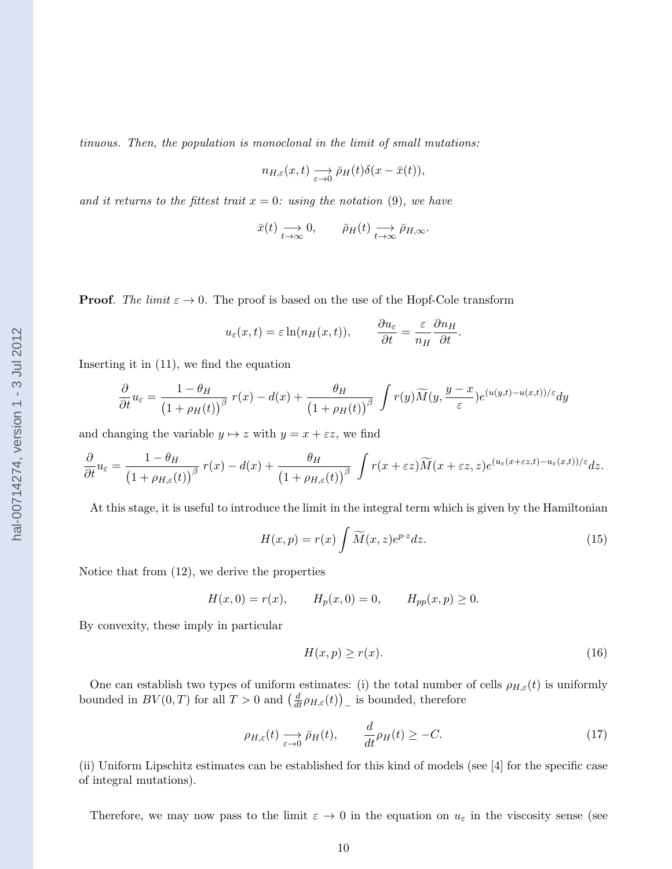<span id="page-9-0"></span>tinuous. Then, the population is monoclonal in the limit of small mutations:

$$
n_{H,\varepsilon}(x,t) \xrightarrow[\varepsilon \to 0]{} \bar{\rho}_H(t)\delta(x-\bar{x}(t)),
$$

and it returns to the fittest trait  $x = 0$ : using the notation [\(9\)](#page-5-0), we have

$$
\bar{x}(t) \longrightarrow_{t \to \infty} 0
$$
,  $\bar{\rho}_H(t) \longrightarrow_{t \to \infty} \bar{\rho}_{H,\infty}$ .

**Proof.** The limit  $\varepsilon \to 0$ . The proof is based on the use of the Hopf-Cole transform

$$
u_{\varepsilon}(x,t) = \varepsilon \ln(n_H(x,t)),
$$
  $\qquad \frac{\partial u_{\varepsilon}}{\partial t} = \frac{\varepsilon}{n_H} \frac{\partial n_H}{\partial t}.$ 

Inserting it in [\(11\)](#page-8-0), we find the equation

$$
\frac{\partial}{\partial t}u_{\varepsilon} = \frac{1-\theta_H}{(1+\rho_H(t))^\beta} r(x) - d(x) + \frac{\theta_H}{(1+\rho_H(t))^\beta} \int r(y)\widetilde{M}(y,\frac{y-x}{\varepsilon})e^{(u(y,t)-u(x,t))/\varepsilon}dy
$$

and changing the variable  $y \mapsto z$  with  $y = x + \varepsilon z$ , we find

$$
\frac{\partial}{\partial t}u_{\varepsilon} = \frac{1-\theta_H}{(1+\rho_{H,\varepsilon}(t))^\beta} r(x) - d(x) + \frac{\theta_H}{(1+\rho_{H,\varepsilon}(t))^\beta} \int r(x+\varepsilon z) \widetilde{M}(x+\varepsilon z,z) e^{(u_{\varepsilon}(x+\varepsilon z,t)-u_{\varepsilon}(x,t))/\varepsilon} dz.
$$

At this stage, it is useful to introduce the limit in the integral term which is given by the Hamiltonian

$$
H(x,p) = r(x) \int \widetilde{M}(x,z)e^{pz}dz.
$$
 (15)

Notice that from [\(12\)](#page-8-0), we derive the properties

$$
H(x, 0) = r(x), \qquad H_p(x, 0) = 0, \qquad H_{pp}(x, p) \ge 0.
$$

By convexity, these imply in particular

$$
H(x,p) \ge r(x). \tag{16}
$$

One can establish two types of uniform estimates: (i) the total number of cells  $\rho_{H,\varepsilon}(t)$  is uniformly bounded in  $BV(0,T)$  for all  $T > 0$  and  $\left(\frac{d}{dt}\rho_{H,\varepsilon}(t)\right)$  is bounded, therefore

$$
\rho_{H,\varepsilon}(t) \xrightarrow[\varepsilon \to 0]{} \bar{\rho}_H(t), \qquad \frac{d}{dt} \rho_H(t) \ge -C. \tag{17}
$$

(ii) Uniform Lipschitz estimates can be established for this kind of models (see [\[4\]](#page-23-0) for the specific case of integral mutations).

Therefore, we may now pass to the limit  $\varepsilon \to 0$  in the equation on  $u_{\varepsilon}$  in the viscosity sense (see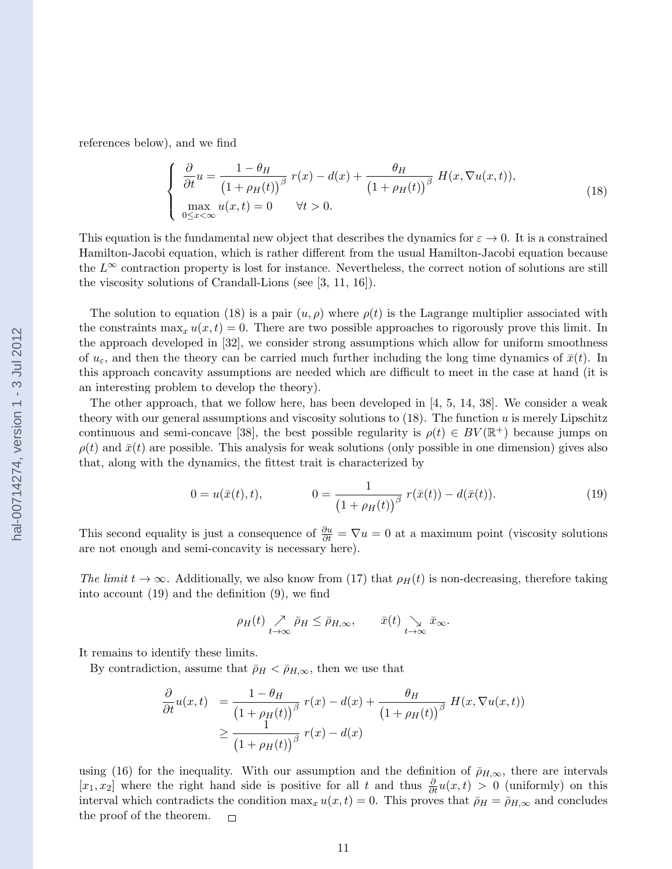<span id="page-10-0"></span>references below), and we find

$$
\begin{cases}\n\frac{\partial}{\partial t}u = \frac{1 - \theta_H}{\left(1 + \rho_H(t)\right)^{\beta}} r(x) - d(x) + \frac{\theta_H}{\left(1 + \rho_H(t)\right)^{\beta}} H(x, \nabla u(x, t)), \\
\max_{0 \le x < \infty} u(x, t) = 0 \quad \forall t > 0.\n\end{cases}
$$
\n(18)

This equation is the fundamental new object that describes the dynamics for  $\varepsilon \to 0$ . It is a constrained Hamilton-Jacobi equation, which is rather different from the usual Hamilton-Jacobi equation because the  $L^{\infty}$  contraction property is lost for instance. Nevertheless, the correct notion of solutions are still the viscosity solutions of Crandall-Lions (see [\[3,](#page-23-0) [11, 16\]](#page-24-0)).

The solution to equation (18) is a pair  $(u, \rho)$  where  $\rho(t)$  is the Lagrange multiplier associated with the constraints  $\max_x u(x, t) = 0$ . There are two possible approaches to rigorously prove this limit. In the approach developed in [\[32\]](#page-25-0), we consider strong assumptions which allow for uniform smoothness of  $u_{\varepsilon}$ , and then the theory can be carried much further including the long time dynamics of  $\bar{x}(t)$ . In this approach concavity assumptions are needed which are difficult to meet in the case at hand (it is an interesting problem to develop the theory).

The other approach, that we follow here, has been developed in  $[4, 5, 14, 38]$  $[4, 5, 14, 38]$  $[4, 5, 14, 38]$ . We consider a weak theory with our general assumptions and viscosity solutions to  $(18)$ . The function u is merely Lipschitz continuous and semi-concave [\[38\]](#page-25-0), the best possible regularity is  $\rho(t) \in BV(\mathbb{R}^+)$  because jumps on  $\rho(t)$  and  $\bar{x}(t)$  are possible. This analysis for weak solutions (only possible in one dimension) gives also that, along with the dynamics, the fittest trait is characterized by

$$
0 = u(\bar{x}(t), t), \qquad 0 = \frac{1}{(1 + \rho_H(t))^\beta} r(\bar{x}(t)) - d(\bar{x}(t)). \qquad (19)
$$

This second equality is just a consequence of  $\frac{\partial u}{\partial t} = \nabla u = 0$  at a maximum point (viscosity solutions are not enough and semi-concavity is necessary here).

The limit  $t \to \infty$ . Additionally, we also know from [\(17\)](#page-9-0) that  $\rho_H(t)$  is non-decreasing, therefore taking into account (19) and the definition [\(9\)](#page-5-0), we find

$$
\rho_H(t) \underset{t \to \infty}{\nearrow} \bar{\rho}_H \leq \bar{\rho}_{H,\infty}, \qquad \bar{x}(t) \underset{t \to \infty}{\searrow} \bar{x}_{\infty}.
$$

It remains to identify these limits.

By contradiction, assume that  $\bar{\rho}_H < \bar{\rho}_{H,\infty}$ , then we use that

$$
\frac{\partial}{\partial t}u(x,t) = \frac{1-\theta_H}{\left(1+\rho_H(t)\right)^{\beta}} r(x) - d(x) + \frac{\theta_H}{\left(1+\rho_H(t)\right)^{\beta}} H(x,\nabla u(x,t))
$$
  

$$
\geq \frac{1}{\left(1+\rho_H(t)\right)^{\beta}} r(x) - d(x)
$$

using [\(16\)](#page-9-0) for the inequality. With our assumption and the definition of  $\bar{\rho}_{H,\infty}$ , there are intervals  $[x_1, x_2]$  where the right hand side is positive for all t and thus  $\frac{\partial}{\partial t}u(x,t) > 0$  (uniformly) on this interval which contradicts the condition  $\max_x u(x,t) = 0$ . This proves that  $\bar{\rho}_H = \bar{\rho}_{H,\infty}$  and concludes the proof of the theorem.  $\Box$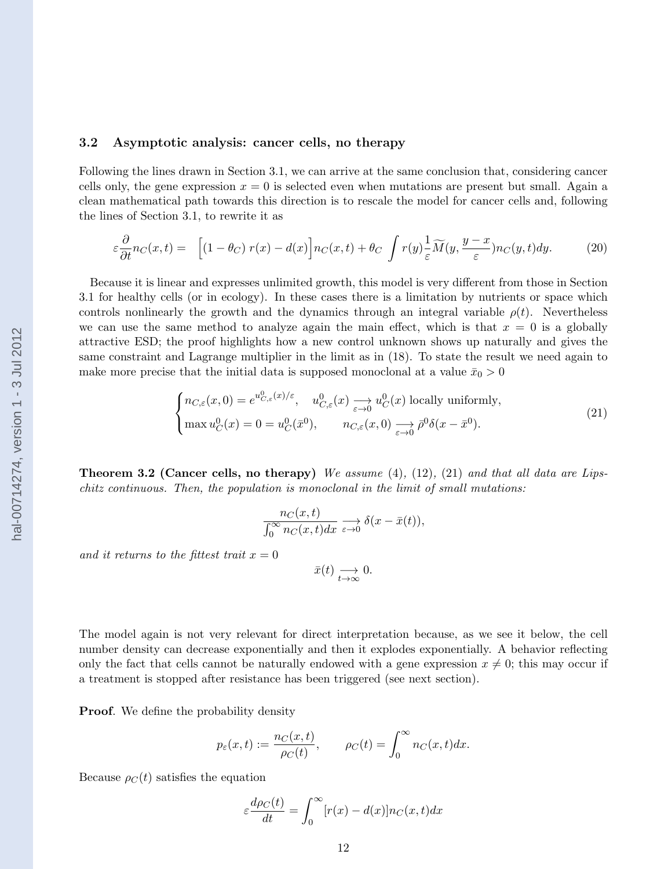### <span id="page-11-0"></span>3.2 Asymptotic analysis: cancer cells, no therapy

Following the lines drawn in Section [3.1,](#page-7-0) we can arrive at the same conclusion that, considering cancer cells only, the gene expression  $x = 0$  is selected even when mutations are present but small. Again a clean mathematical path towards this direction is to rescale the model for cancer cells and, following the lines of Section [3.1,](#page-7-0) to rewrite it as

$$
\varepsilon \frac{\partial}{\partial t} n_C(x,t) = \left[ (1 - \theta_C) r(x) - d(x) \right] n_C(x,t) + \theta_C \int r(y) \frac{1}{\varepsilon} \widetilde{M}(y, \frac{y - x}{\varepsilon}) n_C(y,t) dy. \tag{20}
$$

Because it is linear and expresses unlimited growth, this model is very different from those in Section [3.1](#page-7-0) for healthy cells (or in ecology). In these cases there is a limitation by nutrients or space which controls nonlinearly the growth and the dynamics through an integral variable  $\rho(t)$ . Nevertheless we can use the same method to analyze again the main effect, which is that  $x = 0$  is a globally attractive ESD; the proof highlights how a new control unknown shows up naturally and gives the same constraint and Lagrange multiplier in the limit as in [\(18\)](#page-10-0). To state the result we need again to make more precise that the initial data is supposed monoclonal at a value  $\bar{x}_0 > 0$ 

$$
\begin{cases} n_{C,\varepsilon}(x,0) = e^{u_{C,\varepsilon}^0(x)/\varepsilon}, \quad u_{C,\varepsilon}^0(x) \longrightarrow u_C^0(x) \text{ locally uniformly,} \\ \max u_C^0(x) = 0 = u_C^0(\bar{x}^0), \qquad n_{C,\varepsilon}(x,0) \longrightarrow \bar{\rho}^0 \delta(x - \bar{x}^0). \end{cases}
$$
(21)

**Theorem 3.2 (Cancer cells, no therapy)** We assume  $(4)$ ,  $(12)$ ,  $(21)$  and that all data are Lipschitz continuous. Then, the population is monoclonal in the limit of small mutations:

$$
\frac{n_C(x,t)}{\int_0^\infty n_C(x,t)dx} \xrightarrow[\varepsilon \to 0]{} \delta(x-\bar{x}(t)),
$$

and it returns to the fittest trait  $x = 0$ 

$$
\bar{x}(t) \underset{t \to \infty}{\longrightarrow} 0.
$$

The model again is not very relevant for direct interpretation because, as we see it below, the cell number density can decrease exponentially and then it explodes exponentially. A behavior reflecting only the fact that cells cannot be naturally endowed with a gene expression  $x \neq 0$ ; this may occur if a treatment is stopped after resistance has been triggered (see next section).

**Proof.** We define the probability density

$$
p_{\varepsilon}(x,t) := \frac{n_C(x,t)}{\rho_C(t)}, \qquad \rho_C(t) = \int_0^\infty n_C(x,t)dx.
$$

Because  $\rho_C(t)$  satisfies the equation

$$
\varepsilon \frac{d\rho_C(t)}{dt} = \int_0^\infty [r(x) - d(x)] n_C(x, t) dx
$$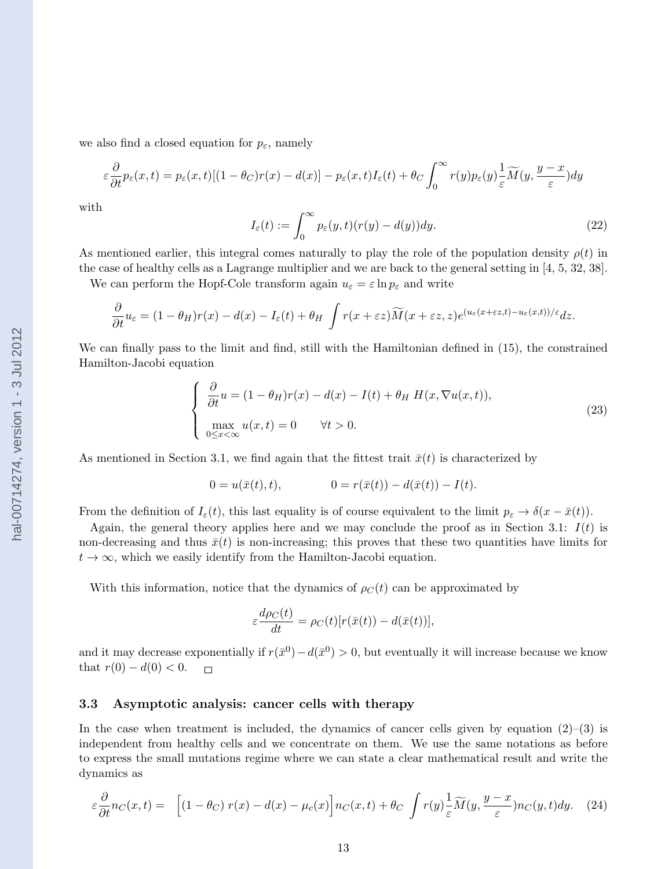<span id="page-12-0"></span>we also find a closed equation for  $p_{\varepsilon}$ , namely

$$
\varepsilon \frac{\partial}{\partial t} p_{\varepsilon}(x,t) = p_{\varepsilon}(x,t) [(1-\theta_C)r(x) - d(x)] - p_{\varepsilon}(x,t) I_{\varepsilon}(t) + \theta_C \int_0^{\infty} r(y) p_{\varepsilon}(y) \frac{1}{\varepsilon} \widetilde{M}(y, \frac{y-x}{\varepsilon}) dy
$$

with

$$
I_{\varepsilon}(t) := \int_0^{\infty} p_{\varepsilon}(y, t)(r(y) - d(y)) dy.
$$
 (22)

As mentioned earlier, this integral comes naturally to play the role of the population density  $\rho(t)$  in the case of healthy cells as a Lagrange multiplier and we are back to the general setting in [\[4, 5,](#page-23-0) [32, 38\]](#page-25-0).

We can perform the Hopf-Cole transform again  $u_{\varepsilon} = \varepsilon \ln p_{\varepsilon}$  and write

$$
\frac{\partial}{\partial t}u_{\varepsilon} = (1 - \theta_H)r(x) - d(x) - I_{\varepsilon}(t) + \theta_H \int r(x + \varepsilon z) \widetilde{M}(x + \varepsilon z, z) e^{(u_{\varepsilon}(x + \varepsilon z, t) - u_{\varepsilon}(x, t))/\varepsilon} dz.
$$

We can finally pass to the limit and find, still with the Hamiltonian defined in [\(15\)](#page-9-0), the constrained Hamilton-Jacobi equation

$$
\begin{cases}\n\frac{\partial}{\partial t}u = (1 - \theta_H)r(x) - d(x) - I(t) + \theta_H H(x, \nabla u(x, t)),\n\max_{0 \le x < \infty} u(x, t) = 0 \quad \forall t > 0.\n\end{cases}
$$
\n(23)

As mentioned in Section [3.1,](#page-7-0) we find again that the fittest trait  $\bar{x}(t)$  is characterized by

$$
0 = u(\bar{x}(t), t), \qquad 0 = r(\bar{x}(t)) - d(\bar{x}(t)) - I(t).
$$

From the definition of  $I_{\varepsilon}(t)$ , this last equality is of course equivalent to the limit  $p_{\varepsilon} \to \delta(x - \bar{x}(t))$ .

Again, the general theory applies here and we may conclude the proof as in Section [3.1:](#page-7-0)  $I(t)$  is non-decreasing and thus  $\bar{x}(t)$  is non-increasing; this proves that these two quantities have limits for  $t \to \infty$ , which we easily identify from the Hamilton-Jacobi equation.

With this information, notice that the dynamics of  $\rho_C(t)$  can be approximated by

$$
\varepsilon \frac{d\rho_C(t)}{dt} = \rho_C(t)[r(\bar{x}(t)) - d(\bar{x}(t))],
$$

and it may decrease exponentially if  $r(\bar{x}^0) - d(\bar{x}^0) > 0$ , but eventually it will increase because we know that  $r(0) - d(0) < 0$ .  $\Box$ 

### 3.3 Asymptotic analysis: cancer cells with therapy

In the case when treatment is included, the dynamics of cancer cells given by equation  $(2)$ – $(3)$  is independent from healthy cells and we concentrate on them. We use the same notations as before to express the small mutations regime where we can state a clear mathematical result and write the dynamics as

$$
\varepsilon \frac{\partial}{\partial t} n_C(x,t) = \left[ (1 - \theta_C) r(x) - d(x) - \mu_c(x) \right] n_C(x,t) + \theta_C \int r(y) \frac{1}{\varepsilon} \widetilde{M}(y, \frac{y - x}{\varepsilon}) n_C(y,t) dy. \tag{24}
$$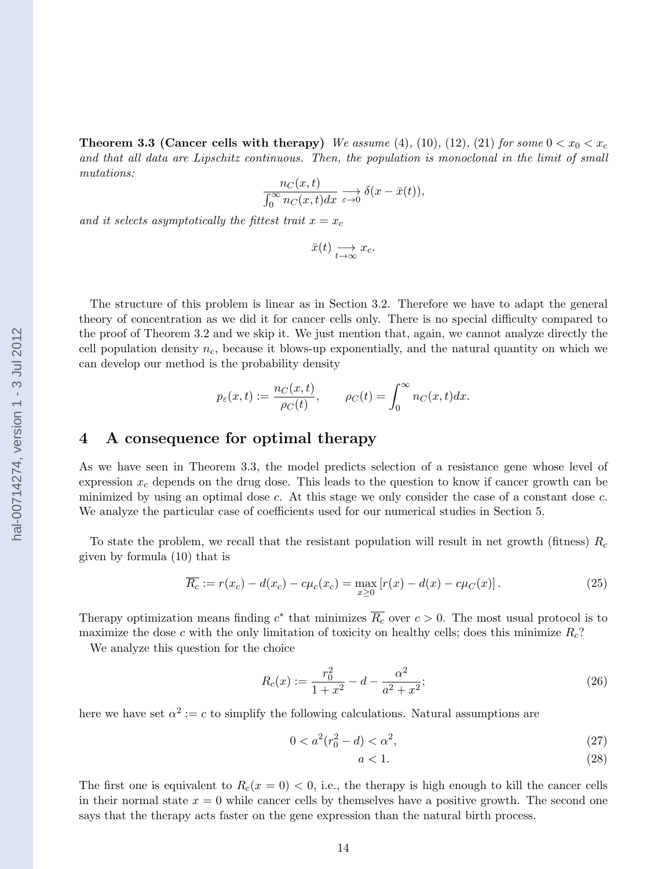<span id="page-13-0"></span>**Theorem 3.3 (Cancer cells with therapy)** We assume [\(4\)](#page-4-0), [\(10\)](#page-7-0), [\(12\)](#page-8-0), [\(21\)](#page-11-0) for some  $0 < x_0 < x_c$ and that all data are Lipschitz continuous. Then, the population is monoclonal in the limit of small mutations:

$$
\frac{n_C(x,t)}{\int_0^\infty n_C(x,t)dx} \xrightarrow[\varepsilon \to 0]{} \delta(x-\bar{x}(t)),
$$

and it selects asymptotically the fittest trait  $x = x_c$ 

$$
\bar{x}(t) \underset{t \to \infty}{\longrightarrow} x_c.
$$

The structure of this problem is linear as in Section [3.2.](#page-11-0) Therefore we have to adapt the general theory of concentration as we did it for cancer cells only. There is no special difficulty compared to the proof of Theorem [3.2](#page-11-0) and we skip it. We just mention that, again, we cannot analyze directly the cell population density  $n_c$ , because it blows-up exponentially, and the natural quantity on which we can develop our method is the probability density

$$
p_{\varepsilon}(x,t):=\frac{n_C(x,t)}{\rho_C(t)},\qquad \rho_C(t)=\int_0^\infty n_C(x,t)dx.
$$

### 4 A consequence for optimal therapy

As we have seen in Theorem [3.3,](#page-12-0) the model predicts selection of a resistance gene whose level of expression  $x_c$  depends on the drug dose. This leads to the question to know if cancer growth can be minimized by using an optimal dose c. At this stage we only consider the case of a constant dose c. We analyze the particular case of coefficients used for our numerical studies in Section [5.](#page-14-0)

To state the problem, we recall that the resistant population will result in net growth (fitness)  $R_c$ given by formula [\(10\)](#page-7-0) that is

$$
\overline{R_c} := r(x_c) - d(x_c) - c\mu_c(x_c) = \max_{x \ge 0} [r(x) - d(x) - c\mu_c(x)].
$$
\n(25)

Therapy optimization means finding  $c^*$  that minimizes  $\overline{R_c}$  over  $c > 0$ . The most usual protocol is to maximize the dose c with the only limitation of toxicity on healthy cells; does this minimize  $R_c$ ?

We analyze this question for the choice

$$
R_c(x) := \frac{r_0^2}{1+x^2} - d - \frac{\alpha^2}{a^2 + x^2};
$$
\n(26)

here we have set  $\alpha^2 := c$  to simplify the following calculations. Natural assumptions are

$$
0 < a^2(r_0^2 - d) < \alpha^2,\tag{27}
$$

$$
a < 1. \tag{28}
$$

The first one is equivalent to  $R_c(x = 0) < 0$ , i.e., the therapy is high enough to kill the cancer cells in their normal state  $x = 0$  while cancer cells by themselves have a positive growth. The second one says that the therapy acts faster on the gene expression than the natural birth process.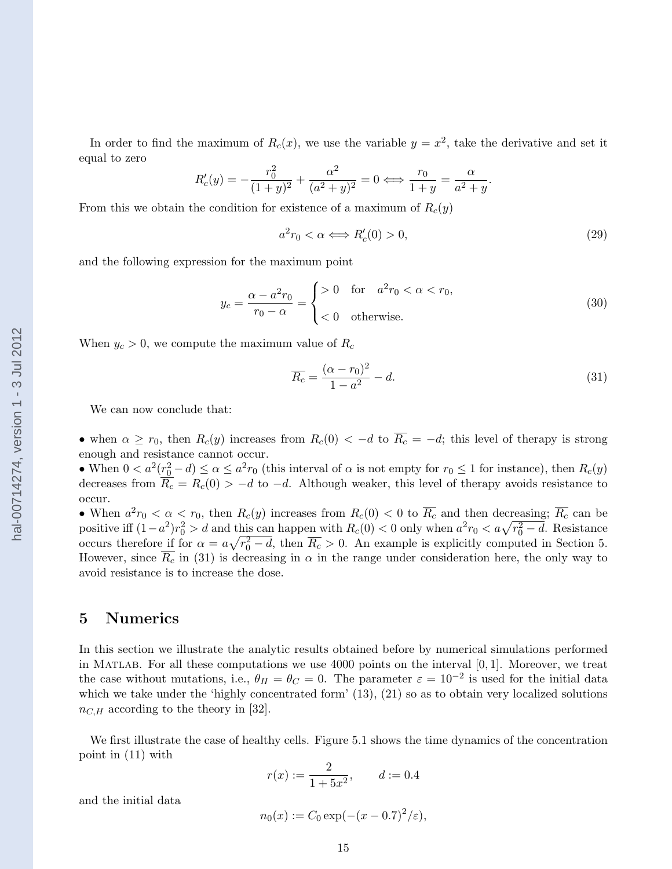<span id="page-14-0"></span>In order to find the maximum of  $R_c(x)$ , we use the variable  $y = x^2$ , take the derivative and set it equal to zero

$$
R'_c(y) = -\frac{r_0^2}{(1+y)^2} + \frac{\alpha^2}{(a^2+y)^2} = 0 \iff \frac{r_0}{1+y} = \frac{\alpha}{a^2+y}.
$$

From this we obtain the condition for existence of a maximum of  $R_c(y)$ 

$$
a^2r_0 < \alpha \Longleftrightarrow R_c'(0) > 0,\tag{29}
$$

and the following expression for the maximum point

$$
y_c = \frac{\alpha - a^2 r_0}{r_0 - \alpha} = \begin{cases} > 0 & \text{for} \quad a^2 r_0 < \alpha < r_0, \\ < 0 & \text{otherwise.} \end{cases} \tag{30}
$$

When  $y_c > 0$ , we compute the maximum value of  $R_c$ 

$$
\overline{R_c} = \frac{(\alpha - r_0)^2}{1 - a^2} - d.
$$
\n(31)

We can now conclude that:

• when  $\alpha \geq r_0$ , then  $R_c(y)$  increases from  $R_c(0) < -d$  to  $\overline{R_c} = -d$ ; this level of therapy is strong enough and resistance cannot occur.

• When  $0 < a^2(r_0^2 - d) \le \alpha \le a^2 r_0$  (this interval of  $\alpha$  is not empty for  $r_0 \le 1$  for instance), then  $R_c(y)$ decreases from  $\overline{R_c} = R_c(0) > -d$  to  $-d$ . Although weaker, this level of therapy avoids resistance to occur.

• When  $a^2r_0 < \alpha < r_0$ , then  $R_c(y)$  increases from  $R_c(0) < 0$  to  $\overline{R_c}$  and then decreasing;  $\overline{R_c}$  can be positive iff  $(1-a^2)r_0^2 > d$  and this can happen with  $R_c(0) < 0$  only when  $a^2r_0 < a\sqrt{r_0^2-d}$ . Resistance occurs therefore if for  $\alpha = a\sqrt{r_0^2 - d}$ , then  $\overline{R_c} > 0$ . An example is explicitly computed in Section 5. However, since  $R_c$  in (31) is decreasing in  $\alpha$  in the range under consideration here, the only way to avoid resistance is to increase the dose.

### 5 Numerics

In this section we illustrate the analytic results obtained before by numerical simulations performed in MATLAB. For all these computations we use  $4000$  points on the interval  $[0, 1]$ . Moreover, we treat the case without mutations, i.e.,  $\theta_H = \theta_C = 0$ . The parameter  $\varepsilon = 10^{-2}$  is used for the initial data which we take under the 'highly concentrated form' [\(13\)](#page-8-0), [\(21\)](#page-11-0) so as to obtain very localized solutions  $n_{C,H}$  according to the theory in [\[32\]](#page-25-0).

We first illustrate the case of healthy cells. Figure [5.1](#page-15-0) shows the time dynamics of the concentration point in [\(11\)](#page-8-0) with

$$
r(x) := \frac{2}{1 + 5x^2}, \qquad d := 0.4
$$

and the initial data

$$
n_0(x) := C_0 \exp(-(x - 0.7)^2/\varepsilon),
$$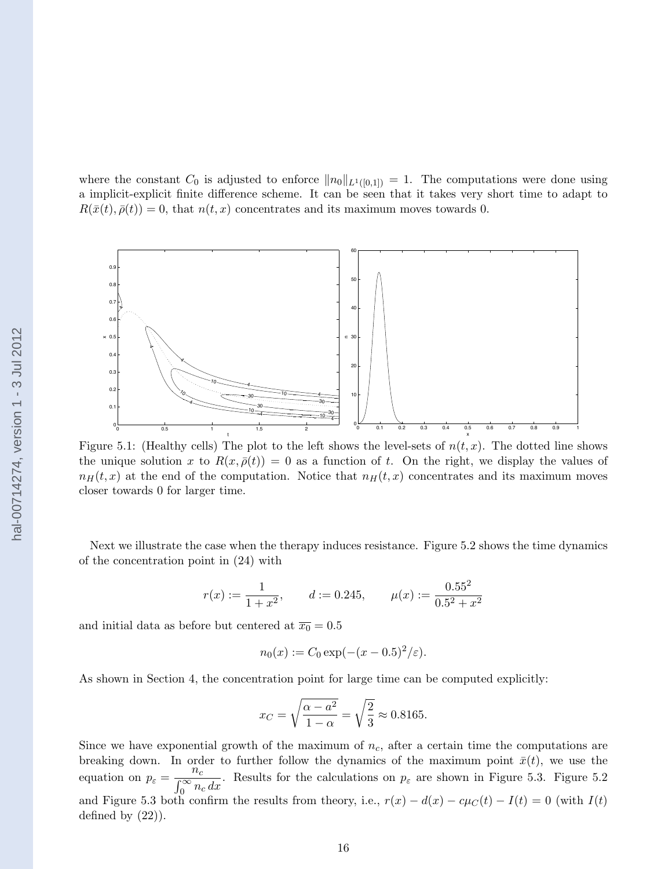0.7 40.6 hal-00714274, version 1 - 3 Jul 2012 hal-00714274, version 1 - 3 Jul 20120.5 0.4 0.3  $\Omega$  $\mathbf{0}$ 0

<span id="page-15-0"></span>



Figure 5.1: (Healthy cells) The plot to the left shows the level-sets of  $n(t, x)$ . The dotted line shows the unique solution x to  $R(x, \bar{\rho}(t)) = 0$  as a function of t. On the right, we display the values of  $n_H(t, x)$  at the end of the computation. Notice that  $n_H(t, x)$  concentrates and its maximum moves closer towards 0 for larger time.

Next we illustrate the case when the therapy induces resistance. Figure [5.2](#page-16-0) shows the time dynamics of the concentration point in [\(24\)](#page-12-0) with

$$
r(x) := \frac{1}{1+x^2}
$$
,  $d := 0.245$ ,  $\mu(x) := \frac{0.55^2}{0.5^2 + x^2}$ 

and initial data as before but centered at  $\overline{x_0} = 0.5$ 

$$
n_0(x) := C_0 \exp(-(x - 0.5)^2/\varepsilon).
$$

As shown in Section [4,](#page-13-0) the concentration point for large time can be computed explicitly:

$$
x_C = \sqrt{\frac{\alpha - a^2}{1 - \alpha}} = \sqrt{\frac{2}{3}} \approx 0.8165.
$$

Since we have exponential growth of the maximum of  $n_c$ , after a certain time the computations are breaking down. In order to further follow the dynamics of the maximum point  $\bar{x}(t)$ , we use the equation on  $p_{\varepsilon} = \frac{n_c}{\sqrt{2m_{\varepsilon}}}$  $\frac{hc}{\int_0^\infty n_c dx}$ . Results for the calculations on  $p_\varepsilon$  are shown in Figure [5.3.](#page-16-0) Figure [5.2](#page-16-0) and Figure [5.3](#page-16-0) both confirm the results from theory, i.e.,  $r(x) - d(x) - c\mu_C(t) - I(t) = 0$  (with  $I(t)$ ) defined by [\(22\)](#page-12-0)).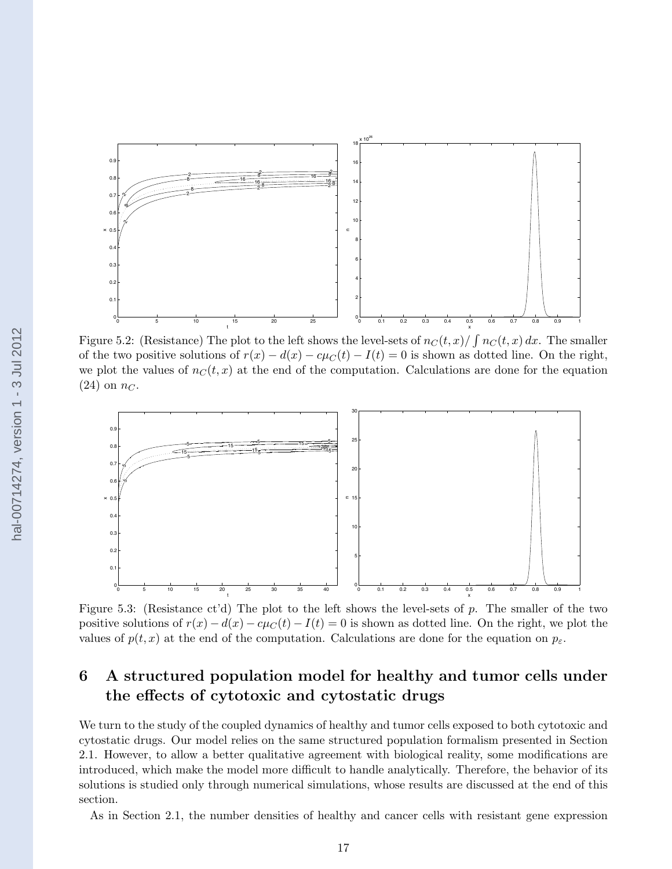<span id="page-16-0"></span>

Figure 5.2: (Resistance) The plot to the left shows the level-sets of  $n_C(t, x) / \int n_C(t, x) dx$ . The smaller of the two positive solutions of  $r(x) - d(x) - c\mu_C(t) - I(t) = 0$  is shown as dotted line. On the right, we plot the values of  $n<sub>C</sub>(t, x)$  at the end of the computation. Calculations are done for the equation  $(24)$  on  $n<sub>C</sub>$ .



Figure 5.3: (Resistance ct'd) The plot to the left shows the level-sets of  $p$ . The smaller of the two positive solutions of  $r(x) - d(x) - c\mu_C(t) - I(t) = 0$  is shown as dotted line. On the right, we plot the values of  $p(t, x)$  at the end of the computation. Calculations are done for the equation on  $p_{\varepsilon}$ .

# 6 A structured population model for healthy and tumor cells under the effects of cytotoxic and cytostatic drugs

We turn to the study of the coupled dynamics of healthy and tumor cells exposed to both cytotoxic and cytostatic drugs. Our model relies on the same structured population formalism presented in Section [2.1.](#page-3-0) However, to allow a better qualitative agreement with biological reality, some modifications are introduced, which make the model more difficult to handle analytically. Therefore, the behavior of its solutions is studied only through numerical simulations, whose results are discussed at the end of this section.

As in Section [2.1,](#page-3-0) the number densities of healthy and cancer cells with resistant gene expression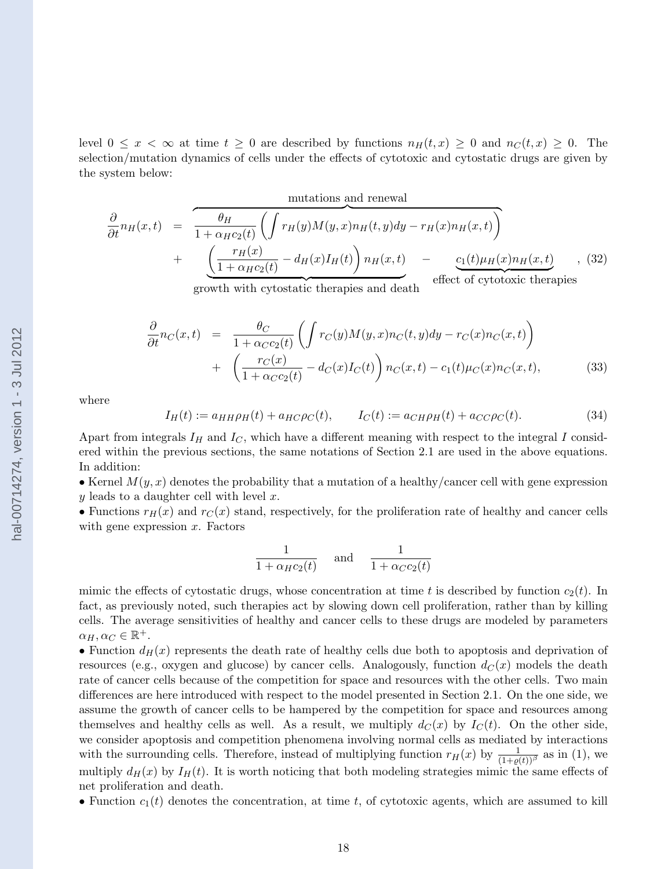<span id="page-17-0"></span>level  $0 \leq x < \infty$  at time  $t \geq 0$  are described by functions  $n_H(t,x) \geq 0$  and  $n_C(t,x) \geq 0$ . The selection/mutation dynamics of cells under the effects of cytotoxic and cytostatic drugs are given by the system below:

mutations and renewal

$$
\frac{\partial}{\partial t}n_H(x,t) = \frac{\theta_H}{1 + \alpha_H c_2(t)} \left( \int r_H(y)M(y,x)n_H(t,y)dy - r_H(x)n_H(x,t) \right) + \frac{\left( \frac{r_H(x)}{1 + \alpha_H c_2(t)} - d_H(x)I_H(t) \right) n_H(x,t)}{\text{growth with cytostatic therapies and death}} - \frac{c_1(t)\mu_H(x)n_H(x,t)}{\text{effect of cytotoxic therapies}} \quad (32)
$$

$$
\frac{\partial}{\partial t}n_C(x,t) = \frac{\theta_C}{1 + \alpha_C c_2(t)} \left( \int r_C(y)M(y,x)n_C(t,y)dy - r_C(x)n_C(x,t) \right) \n+ \left( \frac{r_C(x)}{1 + \alpha_C c_2(t)} - d_C(x)I_C(t) \right) n_C(x,t) - c_1(t)\mu_C(x)n_C(x,t),
$$
\n(33)

where

$$
I_H(t) := a_{HH}\rho_H(t) + a_{HC}\rho_C(t), \qquad I_C(t) := a_{CH}\rho_H(t) + a_{CC}\rho_C(t).
$$
 (34)

Apart from integrals  $I_H$  and  $I_C$ , which have a different meaning with respect to the integral I considered within the previous sections, the same notations of Section [2.1](#page-3-0) are used in the above equations. In addition:

• Kernel  $M(y, x)$  denotes the probability that a mutation of a healthy/cancer cell with gene expression y leads to a daughter cell with level  $x$ .

• Functions  $r_H(x)$  and  $r_G(x)$  stand, respectively, for the proliferation rate of healthy and cancer cells with gene expression  $x$ . Factors

$$
\frac{1}{1 + \alpha_H c_2(t)} \quad \text{and} \quad \frac{1}{1 + \alpha_C c_2(t)}
$$

mimic the effects of cytostatic drugs, whose concentration at time t is described by function  $c_2(t)$ . In fact, as previously noted, such therapies act by slowing down cell proliferation, rather than by killing cells. The average sensitivities of healthy and cancer cells to these drugs are modeled by parameters  $\alpha_H, \alpha_C \in \mathbb{R}^+$ .

• Function  $d_H(x)$  represents the death rate of healthy cells due both to apoptosis and deprivation of resources (e.g., oxygen and glucose) by cancer cells. Analogously, function  $d_C(x)$  models the death rate of cancer cells because of the competition for space and resources with the other cells. Two main differences are here introduced with respect to the model presented in Section [2.1.](#page-3-0) On the one side, we assume the growth of cancer cells to be hampered by the competition for space and resources among themselves and healthy cells as well. As a result, we multiply  $d_C(x)$  by  $I_C(t)$ . On the other side, we consider apoptosis and competition phenomena involving normal cells as mediated by interactions with the surrounding cells. Therefore, instead of multiplying function  $r_H(x)$  by  $\frac{1}{(1+\varrho(t))^{\beta}}$  as in [\(1\)](#page-3-0), we multiply  $d_H(x)$  by  $I_H(t)$ . It is worth noticing that both modeling strategies mimic the same effects of net proliferation and death.

• Function  $c_1(t)$  denotes the concentration, at time t, of cytotoxic agents, which are assumed to kill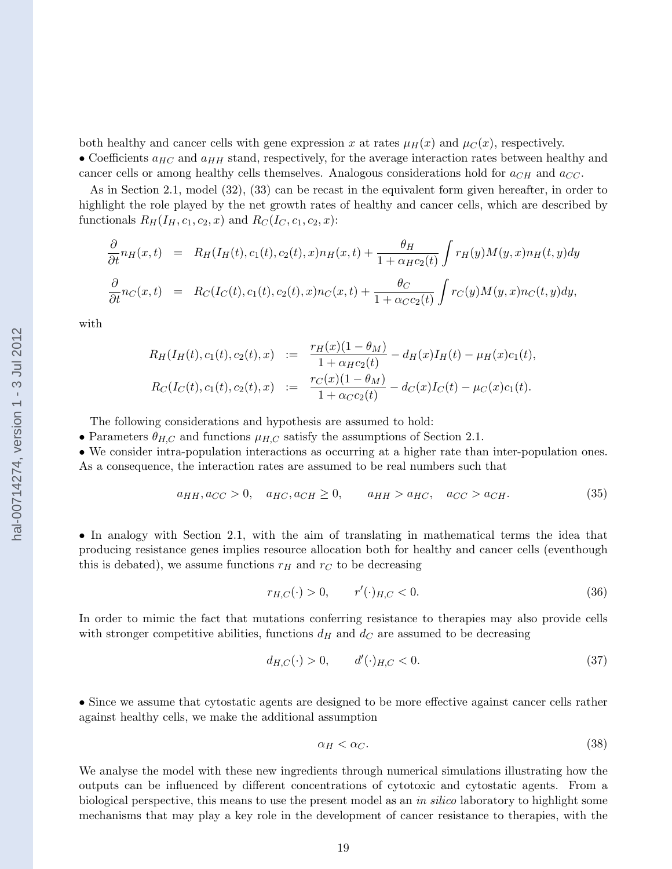<span id="page-18-0"></span>both healthy and cancer cells with gene expression x at rates  $\mu_H(x)$  and  $\mu_C(x)$ , respectively. • Coefficients  $a_{HC}$  and  $a_{HH}$  stand, respectively, for the average interaction rates between healthy and cancer cells or among healthy cells themselves. Analogous considerations hold for  $a_{CH}$  and  $a_{CC}$ .

As in Section [2.1,](#page-3-0) model [\(32\)](#page-17-0), [\(33\)](#page-17-0) can be recast in the equivalent form given hereafter, in order to highlight the role played by the net growth rates of healthy and cancer cells, which are described by functionals  $R_H(I_H, c_1, c_2, x)$  and  $R_C(I_C, c_1, c_2, x)$ :

$$
\frac{\partial}{\partial t}n_H(x,t) = R_H(I_H(t), c_1(t), c_2(t), x)n_H(x,t) + \frac{\theta_H}{1 + \alpha_H c_2(t)} \int r_H(y)M(y,x)n_H(t,y)dy
$$
  

$$
\frac{\partial}{\partial t}n_C(x,t) = R_C(I_C(t), c_1(t), c_2(t), x)n_C(x,t) + \frac{\theta_C}{1 + \alpha_C c_2(t)} \int r_C(y)M(y,x)n_C(t,y)dy,
$$

with

$$
R_H(I_H(t), c_1(t), c_2(t), x) := \frac{r_H(x)(1 - \theta_M)}{1 + \alpha_H c_2(t)} - d_H(x)I_H(t) - \mu_H(x)c_1(t),
$$
  
\n
$$
R_C(I_C(t), c_1(t), c_2(t), x) := \frac{r_C(x)(1 - \theta_M)}{1 + \alpha_C c_2(t)} - d_C(x)I_C(t) - \mu_C(x)c_1(t).
$$

The following considerations and hypothesis are assumed to hold:

• Parameters  $\theta_{H,C}$  and functions  $\mu_{H,C}$  satisfy the assumptions of Section [2.1.](#page-3-0)

• We consider intra-population interactions as occurring at a higher rate than inter-population ones. As a consequence, the interaction rates are assumed to be real numbers such that

$$
a_{HH}, a_{CC} > 0, \quad a_{HC}, a_{CH} \ge 0, \qquad a_{HH} > a_{HC}, \quad a_{CC} > a_{CH}.\tag{35}
$$

• In analogy with Section [2.1,](#page-3-0) with the aim of translating in mathematical terms the idea that producing resistance genes implies resource allocation both for healthy and cancer cells (eventhough this is debated), we assume functions  $r_H$  and  $r_C$  to be decreasing

$$
r_{H,C}(\cdot) > 0, \qquad r'(\cdot)_{H,C} < 0. \tag{36}
$$

In order to mimic the fact that mutations conferring resistance to therapies may also provide cells with stronger competitive abilities, functions  $d_H$  and  $d_C$  are assumed to be decreasing

$$
d_{H,C}(\cdot) > 0, \qquad d'(\cdot)_{H,C} < 0. \tag{37}
$$

• Since we assume that cytostatic agents are designed to be more effective against cancer cells rather against healthy cells, we make the additional assumption

$$
\alpha_H < \alpha_C. \tag{38}
$$

We analyse the model with these new ingredients through numerical simulations illustrating how the outputs can be influenced by different concentrations of cytotoxic and cytostatic agents. From a biological perspective, this means to use the present model as an in silico laboratory to highlight some mechanisms that may play a key role in the development of cancer resistance to therapies, with the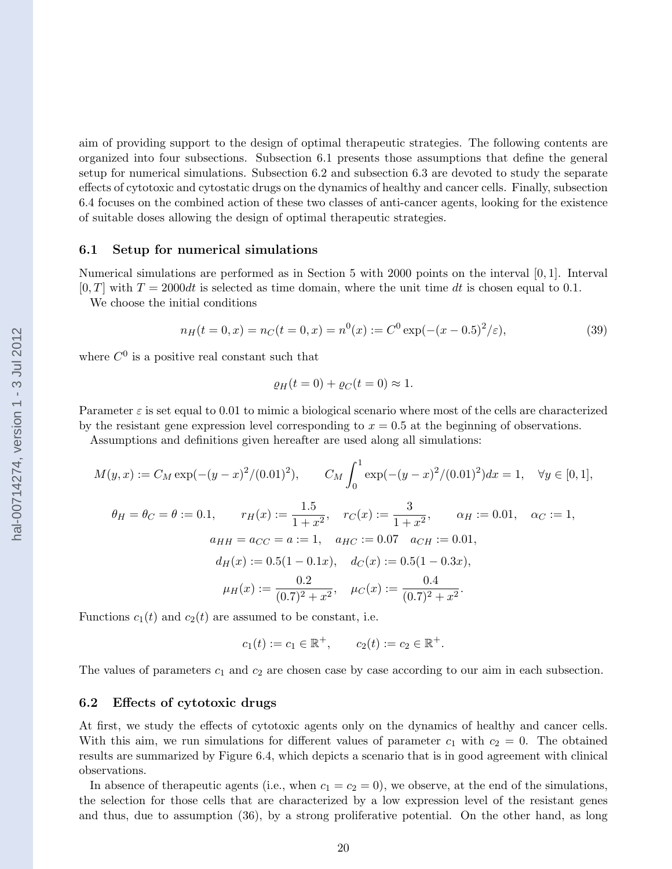aim of providing support to the design of optimal therapeutic strategies. The following contents are organized into four subsections. Subsection 6.1 presents those assumptions that define the general setup for numerical simulations. Subsection 6.2 and subsection [6.3](#page-20-0) are devoted to study the separate effects of cytotoxic and cytostatic drugs on the dynamics of healthy and cancer cells. Finally, subsection [6.4](#page-20-0) focuses on the combined action of these two classes of anti-cancer agents, looking for the existence of suitable doses allowing the design of optimal therapeutic strategies.

### 6.1 Setup for numerical simulations

Numerical simulations are performed as in Section [5](#page-14-0) with 2000 points on the interval [0, 1]. Interval  $[0, T]$  with  $T = 2000dt$  is selected as time domain, where the unit time dt is chosen equal to 0.1.

We choose the initial conditions

$$
n_H(t = 0, x) = n_C(t = 0, x) = n^0(x) := C^0 \exp(-(x - 0.5)^2/\varepsilon),
$$
\n(39)

where  $C^0$  is a positive real constant such that

$$
\varrho_H(t=0) + \varrho_C(t=0) \approx 1.
$$

Parameter  $\varepsilon$  is set equal to 0.01 to mimic a biological scenario where most of the cells are characterized by the resistant gene expression level corresponding to  $x = 0.5$  at the beginning of observations.

Assumptions and definitions given hereafter are used along all simulations:

$$
M(y, x) := C_M \exp(-(y - x)^2/(0.01)^2), \qquad C_M \int_0^1 \exp(-(y - x)^2/(0.01)^2) dx = 1, \quad \forall y \in [0, 1],
$$
  
\n
$$
\theta_H = \theta_C = \theta := 0.1, \qquad r_H(x) := \frac{1.5}{1 + x^2}, \qquad r_C(x) := \frac{3}{1 + x^2}, \qquad \alpha_H := 0.01, \quad \alpha_C := 1,
$$
  
\n
$$
a_{HH} = a_{CC} = a := 1, \quad a_{HC} := 0.07 \quad a_{CH} := 0.01,
$$
  
\n
$$
d_H(x) := 0.5(1 - 0.1x), \quad d_C(x) := 0.5(1 - 0.3x),
$$
  
\n
$$
\mu_H(x) := \frac{0.2}{(0.7)^2 + x^2}, \quad \mu_C(x) := \frac{0.4}{(0.7)^2 + x^2}.
$$

Functions  $c_1(t)$  and  $c_2(t)$  are assumed to be constant, i.e.

$$
c_1(t) := c_1 \in \mathbb{R}^+, \qquad c_2(t) := c_2 \in \mathbb{R}^+.
$$

The values of parameters  $c_1$  and  $c_2$  are chosen case by case according to our aim in each subsection.

#### 6.2 Effects of cytotoxic drugs

At first, we study the effects of cytotoxic agents only on the dynamics of healthy and cancer cells. With this aim, we run simulations for different values of parameter  $c_1$  with  $c_2 = 0$ . The obtained results are summarized by Figure [6.4,](#page-20-0) which depicts a scenario that is in good agreement with clinical observations.

In absence of the rapeutic agents (i.e., when  $c_1 = c_2 = 0$ ), we observe, at the end of the simulations, the selection for those cells that are characterized by a low expression level of the resistant genes and thus, due to assumption [\(36\)](#page-18-0), by a strong proliferative potential. On the other hand, as long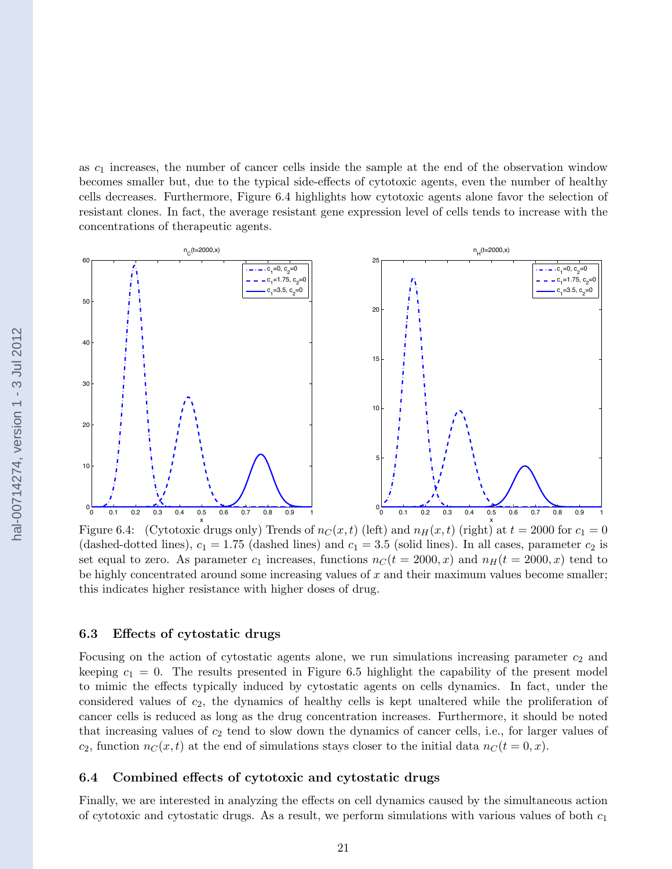<span id="page-20-0"></span>as  $c_1$  increases, the number of cancer cells inside the sample at the end of the observation window becomes smaller but, due to the typical side-effects of cytotoxic agents, even the number of healthy cells decreases. Furthermore, Figure 6.4 highlights how cytotoxic agents alone favor the selection of resistant clones. In fact, the average resistant gene expression level of cells tends to increase with the concentrations of therapeutic agents.



Figure 6.4: (Cytotoxic drugs only) Trends of  $n_C(x,t)$  (left) and  $n_H(x,t)$  (right) at  $t = 2000$  for  $c_1 = 0$ (dashed-dotted lines),  $c_1 = 1.75$  (dashed lines) and  $c_1 = 3.5$  (solid lines). In all cases, parameter  $c_2$  is set equal to zero. As parameter  $c_1$  increases, functions  $n<sub>C</sub>(t = 2000, x)$  and  $n<sub>H</sub>(t = 2000, x)$  tend to be highly concentrated around some increasing values of  $x$  and their maximum values become smaller; this indicates higher resistance with higher doses of drug.

### 6.3 Effects of cytostatic drugs

Focusing on the action of cytostatic agents alone, we run simulations increasing parameter  $c_2$  and keeping  $c_1 = 0$ . The results presented in Figure [6.5](#page-21-0) highlight the capability of the present model to mimic the effects typically induced by cytostatic agents on cells dynamics. In fact, under the considered values of  $c_2$ , the dynamics of healthy cells is kept unaltered while the proliferation of cancer cells is reduced as long as the drug concentration increases. Furthermore, it should be noted that increasing values of  $c_2$  tend to slow down the dynamics of cancer cells, i.e., for larger values of  $c_2$ , function  $n_C(x, t)$  at the end of simulations stays closer to the initial data  $n_C(t = 0, x)$ .

### 6.4 Combined effects of cytotoxic and cytostatic drugs

Finally, we are interested in analyzing the effects on cell dynamics caused by the simultaneous action of cytotoxic and cytostatic drugs. As a result, we perform simulations with various values of both  $c_1$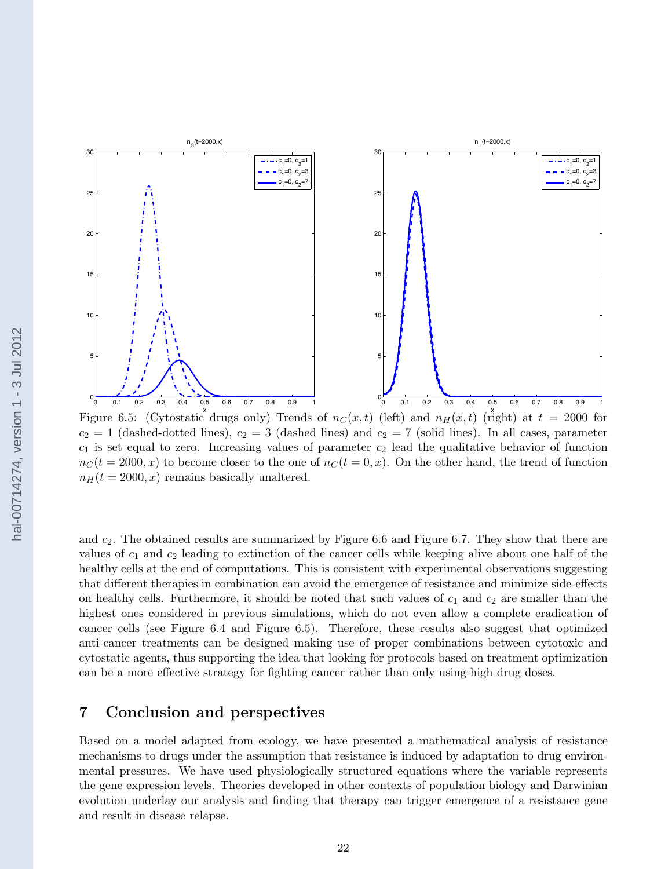<span id="page-21-0"></span>

 $n_{\text{c}}(t=2000,x)$ 

 $c_2 = 1$  (dashed-dotted lines),  $c_2 = 3$  (dashed lines) and  $c_2 = 7$  (solid lines). In all cases, parameter  $c_1$  is set equal to zero. Increasing values of parameter  $c_2$  lead the qualitative behavior of function  $n<sub>C</sub>(t = 2000, x)$  to become closer to the one of  $n<sub>C</sub>(t = 0, x)$ . On the other hand, the trend of function  $n_H(t = 2000, x)$  remains basically unaltered.

 $n_{\text{H}}(t=2000,x)$ 

 $c_{1}^{\phantom{\dag}}$ =0,  $c_{2}^{\phantom{\dag}}$ =1  $c_1 = 0$ ,  $c_2 = 3$  $c_1 = 0$ ,  $c_2 = 7$ 

and  $c_2$ . The obtained results are summarized by Figure [6.6](#page-22-0) and Figure [6.7.](#page-23-0) They show that there are values of  $c_1$  and  $c_2$  leading to extinction of the cancer cells while keeping alive about one half of the healthy cells at the end of computations. This is consistent with experimental observations suggesting that different therapies in combination can avoid the emergence of resistance and minimize side-effects on healthy cells. Furthermore, it should be noted that such values of  $c_1$  and  $c_2$  are smaller than the highest ones considered in previous simulations, which do not even allow a complete eradication of cancer cells (see Figure [6.4](#page-20-0) and Figure 6.5). Therefore, these results also suggest that optimized anti-cancer treatments can be designed making use of proper combinations between cytotoxic and cytostatic agents, thus supporting the idea that looking for protocols based on treatment optimization can be a more effective strategy for fighting cancer rather than only using high drug doses.

### 7 Conclusion and perspectives

Based on a model adapted from ecology, we have presented a mathematical analysis of resistance mechanisms to drugs under the assumption that resistance is induced by adaptation to drug environmental pressures. We have used physiologically structured equations where the variable represents the gene expression levels. Theories developed in other contexts of population biology and Darwinian evolution underlay our analysis and finding that therapy can trigger emergence of a resistance gene and result in disease relapse.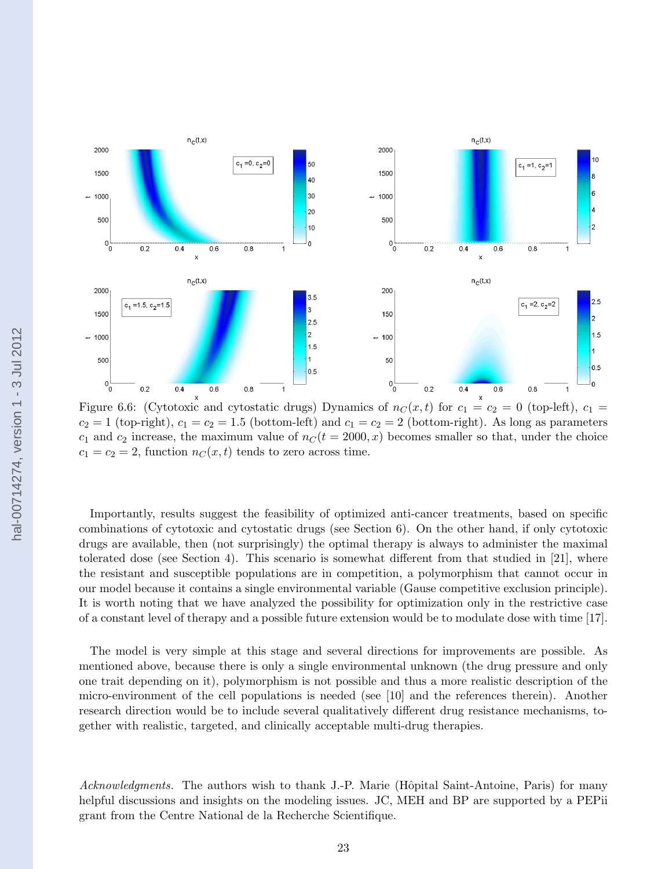<span id="page-22-0"></span>

Figure 6.6: (Cytotoxic and cytostatic drugs) Dynamics of  $n<sub>C</sub>(x, t)$  for  $c<sub>1</sub> = c<sub>2</sub> = 0$  (top-left),  $c<sub>1</sub> = c<sub>1</sub>$  $c_2 = 1$  (top-right),  $c_1 = c_2 = 1.5$  (bottom-left) and  $c_1 = c_2 = 2$  (bottom-right). As long as parameters  $c_1$  and  $c_2$  increase, the maximum value of  $n<sub>C</sub>(t = 2000, x)$  becomes smaller so that, under the choice  $c_1 = c_2 = 2$ , function  $n<sub>C</sub>(x, t)$  tends to zero across time.

Importantly, results suggest the feasibility of optimized anti-cancer treatments, based on specific combinations of cytotoxic and cytostatic drugs (see Section [6\)](#page-16-0). On the other hand, if only cytotoxic drugs are available, then (not surprisingly) the optimal therapy is always to administer the maximal tolerated dose (see Section [4\)](#page-13-0). This scenario is somewhat different from that studied in [\[21\]](#page-24-0), where the resistant and susceptible populations are in competition, a polymorphism that cannot occur in our model because it contains a single environmental variable (Gause competitive exclusion principle). It is worth noting that we have analyzed the possibility for optimization only in the restrictive case of a constant level of therapy and a possible future extension would be to modulate dose with time [\[17\]](#page-24-0).

The model is very simple at this stage and several directions for improvements are possible. As mentioned above, because there is only a single environmental unknown (the drug pressure and only one trait depending on it), polymorphism is not possible and thus a more realistic description of the micro-environment of the cell populations is needed (see [\[10\]](#page-24-0) and the references therein). Another research direction would be to include several qualitatively different drug resistance mechanisms, together with realistic, targeted, and clinically acceptable multi-drug therapies.

Acknowledgments. The authors wish to thank J.-P. Marie (Hôpital Saint-Antoine, Paris) for many helpful discussions and insights on the modeling issues. JC, MEH and BP are supported by a PEPii grant from the Centre National de la Recherche Scientifique.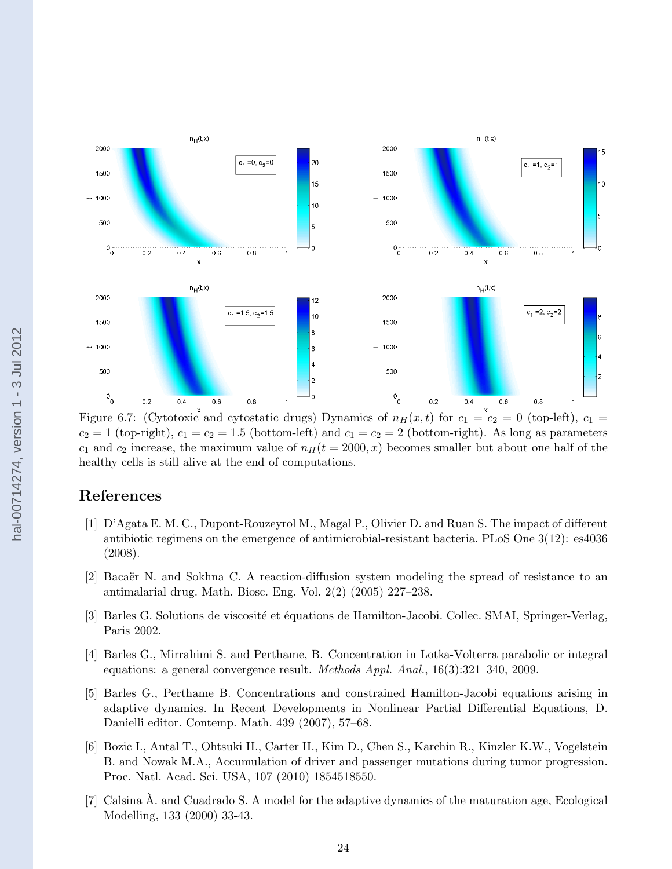<span id="page-23-0"></span>

Figure 6.7: (Cytotoxic and cytostatic drugs) Dynamics of  $n_H(x,t)$  for  $c_1 = c_2 = 0$  (top-left),  $c_1 = c_2$  $c_2 = 1$  (top-right),  $c_1 = c_2 = 1.5$  (bottom-left) and  $c_1 = c_2 = 2$  (bottom-right). As long as parameters  $c_1$  and  $c_2$  increase, the maximum value of  $n_H(t = 2000, x)$  becomes smaller but about one half of the healthy cells is still alive at the end of computations.

# References

- [1] D'Agata E. M. C., Dupont-Rouzeyrol M., Magal P., Olivier D. and Ruan S. The impact of different antibiotic regimens on the emergence of antimicrobial-resistant bacteria. PLoS One 3(12): es4036 (2008).
- [2] Bacaër N. and Sokhna C. A reaction-diffusion system modeling the spread of resistance to an antimalarial drug. Math. Biosc. Eng. Vol. 2(2) (2005) 227–238.
- [3] Barles G. Solutions de viscosité et équations de Hamilton-Jacobi. Collec. SMAI, Springer-Verlag, Paris 2002.
- [4] Barles G., Mirrahimi S. and Perthame, B. Concentration in Lotka-Volterra parabolic or integral equations: a general convergence result. Methods Appl. Anal., 16(3):321–340, 2009.
- [5] Barles G., Perthame B. Concentrations and constrained Hamilton-Jacobi equations arising in adaptive dynamics. In Recent Developments in Nonlinear Partial Differential Equations, D. Danielli editor. Contemp. Math. 439 (2007), 57–68.
- [6] Bozic I., Antal T., Ohtsuki H., Carter H., Kim D., Chen S., Karchin R., Kinzler K.W., Vogelstein B. and Nowak M.A., Accumulation of driver and passenger mutations during tumor progression. Proc. Natl. Acad. Sci. USA, 107 (2010) 1854518550.
- [7] Calsina A. and Cuadrado S. A model for the adaptive dynamics of the maturation age, Ecological ` Modelling, 133 (2000) 33-43.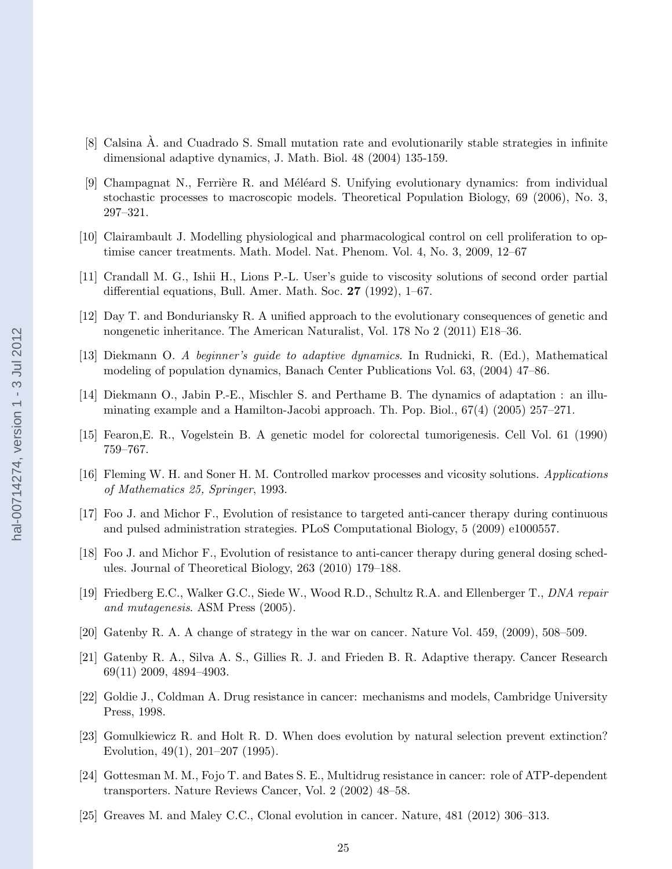- <span id="page-24-0"></span>[8] Calsina A. and Cuadrado S. Small mutation rate and evolutionarily stable strategies in infinite ` dimensional adaptive dynamics, J. Math. Biol. 48 (2004) 135-159.
- [9] Champagnat N., Ferrière R. and Méléard S. Unifying evolutionary dynamics: from individual stochastic processes to macroscopic models. Theoretical Population Biology, 69 (2006), No. 3, 297–321.
- [10] Clairambault J. Modelling physiological and pharmacological control on cell proliferation to optimise cancer treatments. Math. Model. Nat. Phenom. Vol. 4, No. 3, 2009, 12–67
- [11] Crandall M. G., Ishii H., Lions P.-L. User's guide to viscosity solutions of second order partial differential equations, Bull. Amer. Math. Soc. 27 (1992), 1–67.
- [12] Day T. and Bonduriansky R. A unified approach to the evolutionary consequences of genetic and nongenetic inheritance. The American Naturalist, Vol. 178 No 2 (2011) E18–36.
- [13] Diekmann O. A beginner's guide to adaptive dynamics. In Rudnicki, R. (Ed.), Mathematical modeling of population dynamics, Banach Center Publications Vol. 63, (2004) 47–86.
- [14] Diekmann O., Jabin P.-E., Mischler S. and Perthame B. The dynamics of adaptation : an illuminating example and a Hamilton-Jacobi approach. Th. Pop. Biol., 67(4) (2005) 257–271.
- [15] Fearon,E. R., Vogelstein B. A genetic model for colorectal tumorigenesis. Cell Vol. 61 (1990) 759–767.
- [16] Fleming W. H. and Soner H. M. Controlled markov processes and vicosity solutions. Applications of Mathematics 25, Springer, 1993.
- [17] Foo J. and Michor F., Evolution of resistance to targeted anti-cancer therapy during continuous and pulsed administration strategies. PLoS Computational Biology, 5 (2009) e1000557.
- [18] Foo J. and Michor F., Evolution of resistance to anti-cancer therapy during general dosing schedules. Journal of Theoretical Biology, 263 (2010) 179–188.
- [19] Friedberg E.C., Walker G.C., Siede W., Wood R.D., Schultz R.A. and Ellenberger T., DNA repair and mutagenesis. ASM Press (2005).
- [20] Gatenby R. A. A change of strategy in the war on cancer. Nature Vol. 459, (2009), 508–509.
- [21] Gatenby R. A., Silva A. S., Gillies R. J. and Frieden B. R. Adaptive therapy. Cancer Research 69(11) 2009, 4894–4903.
- [22] Goldie J., Coldman A. Drug resistance in cancer: mechanisms and models, Cambridge University Press, 1998.
- [23] Gomulkiewicz R. and Holt R. D. When does evolution by natural selection prevent extinction? Evolution, 49(1), 201–207 (1995).
- [24] Gottesman M. M., Fojo T. and Bates S. E., Multidrug resistance in cancer: role of ATP-dependent transporters. Nature Reviews Cancer, Vol. 2 (2002) 48–58.
- [25] Greaves M. and Maley C.C., Clonal evolution in cancer. Nature, 481 (2012) 306–313.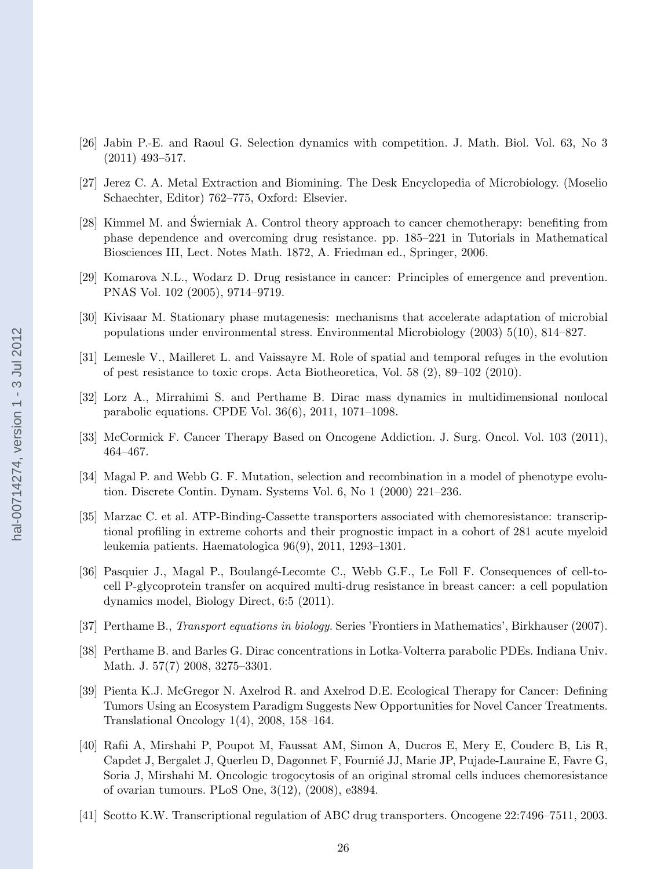- <span id="page-25-0"></span>[26] Jabin P.-E. and Raoul G. Selection dynamics with competition. J. Math. Biol. Vol. 63, No 3 (2011) 493–517.
- [27] Jerez C. A. Metal Extraction and Biomining. The Desk Encyclopedia of Microbiology. (Moselio Schaechter, Editor) 762–775, Oxford: Elsevier.
- [28] Kimmel M. and Świerniak A. Control theory approach to cancer chemotherapy: benefiting from phase dependence and overcoming drug resistance. pp. 185–221 in Tutorials in Mathematical Biosciences III, Lect. Notes Math. 1872, A. Friedman ed., Springer, 2006.
- [29] Komarova N.L., Wodarz D. Drug resistance in cancer: Principles of emergence and prevention. PNAS Vol. 102 (2005), 9714–9719.
- [30] Kivisaar M. Stationary phase mutagenesis: mechanisms that accelerate adaptation of microbial populations under environmental stress. Environmental Microbiology (2003) 5(10), 814–827.
- [31] Lemesle V., Mailleret L. and Vaissayre M. Role of spatial and temporal refuges in the evolution of pest resistance to toxic crops. Acta Biotheoretica, Vol. 58 (2), 89–102 (2010).
- [32] Lorz A., Mirrahimi S. and Perthame B. Dirac mass dynamics in multidimensional nonlocal parabolic equations. CPDE Vol. 36(6), 2011, 1071–1098.
- [33] McCormick F. Cancer Therapy Based on Oncogene Addiction. J. Surg. Oncol. Vol. 103 (2011), 464–467.
- [34] Magal P. and Webb G. F. Mutation, selection and recombination in a model of phenotype evolution. Discrete Contin. Dynam. Systems Vol. 6, No 1 (2000) 221–236.
- [35] Marzac C. et al. ATP-Binding-Cassette transporters associated with chemoresistance: transcriptional profiling in extreme cohorts and their prognostic impact in a cohort of 281 acute myeloid leukemia patients. Haematologica 96(9), 2011, 1293–1301.
- [36] Pasquier J., Magal P., Boulangé-Lecomte C., Webb G.F., Le Foll F. Consequences of cell-tocell P-glycoprotein transfer on acquired multi-drug resistance in breast cancer: a cell population dynamics model, Biology Direct, 6:5 (2011).
- [37] Perthame B., Transport equations in biology. Series 'Frontiers in Mathematics', Birkhauser (2007).
- [38] Perthame B. and Barles G. Dirac concentrations in Lotka-Volterra parabolic PDEs. Indiana Univ. Math. J. 57(7) 2008, 3275–3301.
- [39] Pienta K.J. McGregor N. Axelrod R. and Axelrod D.E. Ecological Therapy for Cancer: Defining Tumors Using an Ecosystem Paradigm Suggests New Opportunities for Novel Cancer Treatments. Translational Oncology 1(4), 2008, 158–164.
- [40] Rafii A, Mirshahi P, Poupot M, Faussat AM, Simon A, Ducros E, Mery E, Couderc B, Lis R, Capdet J, Bergalet J, Querleu D, Dagonnet F, Fourni´e JJ, Marie JP, Pujade-Lauraine E, Favre G, Soria J, Mirshahi M. Oncologic trogocytosis of an original stromal cells induces chemoresistance of ovarian tumours. PLoS One, 3(12), (2008), e3894.
- [41] Scotto K.W. Transcriptional regulation of ABC drug transporters. Oncogene 22:7496–7511, 2003.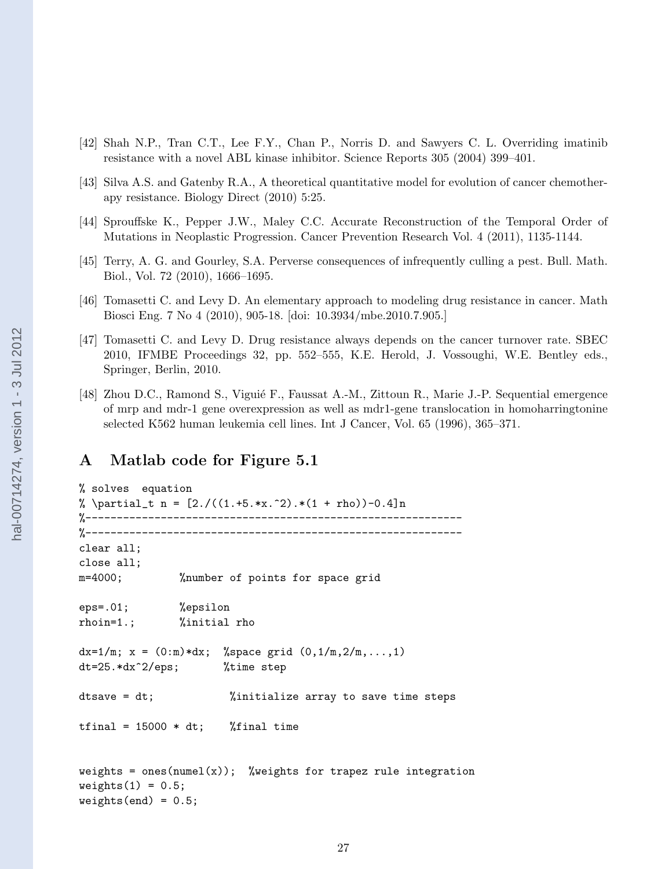- <span id="page-26-0"></span>[42] Shah N.P., Tran C.T., Lee F.Y., Chan P., Norris D. and Sawyers C. L. Overriding imatinib resistance with a novel ABL kinase inhibitor. Science Reports 305 (2004) 399–401.
- [43] Silva A.S. and Gatenby R.A., A theoretical quantitative model for evolution of cancer chemotherapy resistance. Biology Direct (2010) 5:25.
- [44] Sprouffske K., Pepper J.W., Maley C.C. Accurate Reconstruction of the Temporal Order of Mutations in Neoplastic Progression. Cancer Prevention Research Vol. 4 (2011), 1135-1144.
- [45] Terry, A. G. and Gourley, S.A. Perverse consequences of infrequently culling a pest. Bull. Math. Biol., Vol. 72 (2010), 1666–1695.
- [46] Tomasetti C. and Levy D. An elementary approach to modeling drug resistance in cancer. Math Biosci Eng. 7 No 4 (2010), 905-18. [doi: 10.3934/mbe.2010.7.905.]
- [47] Tomasetti C. and Levy D. Drug resistance always depends on the cancer turnover rate. SBEC 2010, IFMBE Proceedings 32, pp. 552–555, K.E. Herold, J. Vossoughi, W.E. Bentley eds., Springer, Berlin, 2010.
- [48] Zhou D.C., Ramond S., Viguié F., Faussat A.-M., Zittoun R., Marie J.-P. Sequential emergence of mrp and mdr-1 gene overexpression as well as mdr1-gene translocation in homoharringtonine selected K562 human leukemia cell lines. Int J Cancer, Vol. 65 (1996), 365–371.

## A Matlab code for Figure [5.1](#page-15-0)

```
% solves equation
% \partial_t n = [2. / ((1.+5.*x.^2).*(1 + rho))-0.4]n%------------------------------------------------------------
%------------------------------------------------------------
clear all;
close all;
m=4000; %number of points for space grid
eps=.01; %epsilon
rhoin=1.; %initial rho
dx=1/m; x = (0:m)*dx; % space grid (0,1/m,2/m,...,1)dt=25.*dx^2/eps; %time step
dtsave = dt; %initialize array to save time steps
tfinal = 15000 * dt; %final time
weights = ones(numel(x)); %weights for trapez rule integration
weights(1) = 0.5;weights(end) = 0.5;
```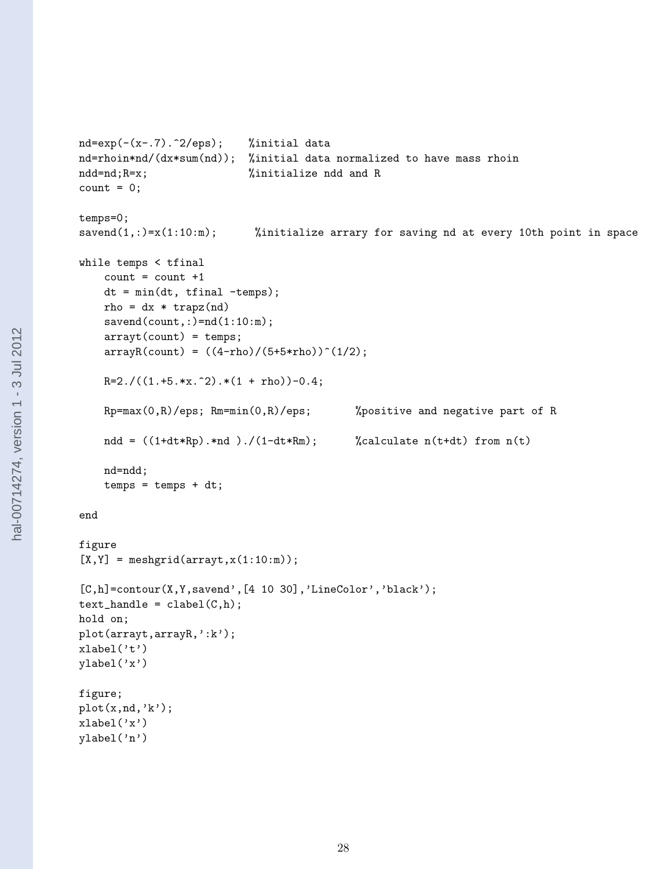```
nd=exp(-(x-.7).^2/eps); %initial data
nd=rhoin*nd/(dx*sum(nd)); %initial data normalized to have mass rhoin
ndd=nd;R=x; \text{\%initialize} ndd and R
count = 0;temps=0;
savend(1,:)=x(1:10:m); %initialize arrary for saving nd at every 10th point in space
while temps < tfinal
   count = count +1dt = min(dt, tfinal -temps);
   rho = dx * trapz(nd)saved(count,:)=nd(1:10:m);arrayt(count) = temps;
   arrayR(count) = ((4-rho)/(5+5*rho))^(1/2);R=2. / ((1. +5.*x.^2).*(1 + rho)) -0.4;Rp = max(0,R)/eps; Rm = min(0,R)/eps; %positive and negative part of R
   ndd = ((1+dt*Rp).*nd)./(1-dt*Rm); %calculate n(t+dt) from n(t)
   nd=ndd;
   temps = temps + dt;end
figure
[X, Y] = meshgridk, x(1:10:m));[C,h]=contour(X,Y,savend',[4 10 30],'LineColor','black');
text\_handle = clabel(C, h);hold on;
plot(arrayt,arrayR,':k');
xlabel('t')ylabel('x')
figure;
plot(x,nd,'k');xlabel('x')
ylabel('n')
```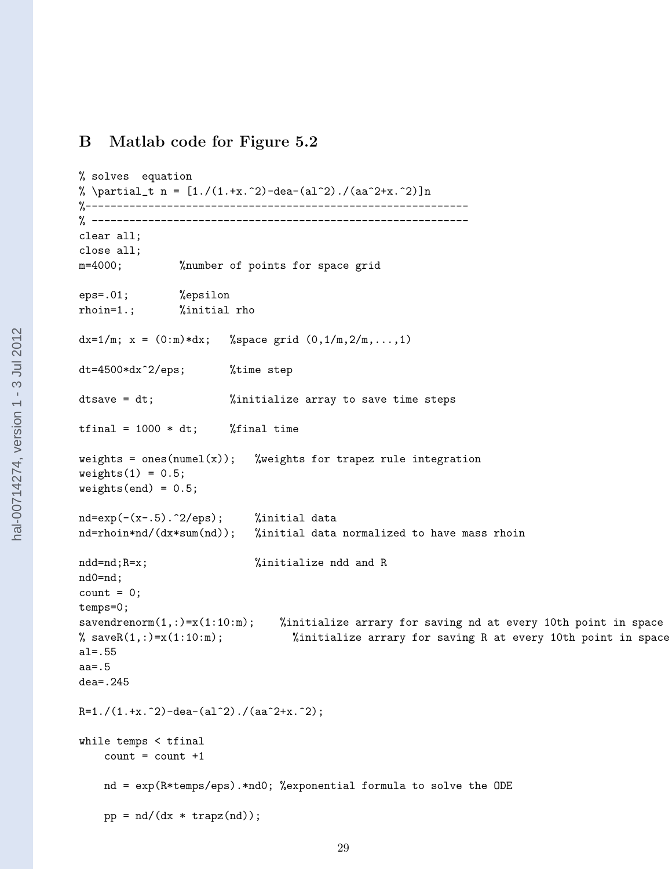## B Matlab code for Figure [5.2](#page-16-0)

```
% solves equation
% \partial_t n = [1./(1.+x.^2)-dea-(a1^2)./(aa^2+x.^2)]n
%-------------------------------------------------------------
% ------------------------------------------------------------
clear all;
close all;
m=4000; %number of points for space grid
eps=.01; %epsilon
rhoin=1.; %initial rho
dx=1/m; x = (0:m)*dx; % space grid (0,1/m,2/m,...,1)dt=4500*dx^2/eps; %time step
dtsave = dt; %initialize array to save time steps
tfinal = 1000 * dt; %final time
weights = ones(numel(x)); %weights for trapez rule integration
weights(1) = 0.5;weights(end) = 0.5;nd=exp(-(x-.5).^2/eps); %initial data
nd=rhoin*nd/(dx*sum(nd)); %initial data normalized to have mass rhoin
ndd=nd;R=x; \text{\%initialize} ndd and R
nd0=nd;
count = 0;temps=0;
savendrenorm(1,:)=x(1:10:m); %initialize arrary for saving nd at every 10th point in space
% saveR(1,:)=x(1:10:m); %initialize arrary for saving R at every 10th point in space
al=.55
aa=.5
dea=.245
R=1./(1.+x.^2)-dea-(al^2)./(aa^2+x.^2);
while temps < tfinal
   count = count +1nd = exp(R*temps/eps).*nd0; %exponential formula to solve the ODE
   pp = nd/(dx * trapz(nd));
```